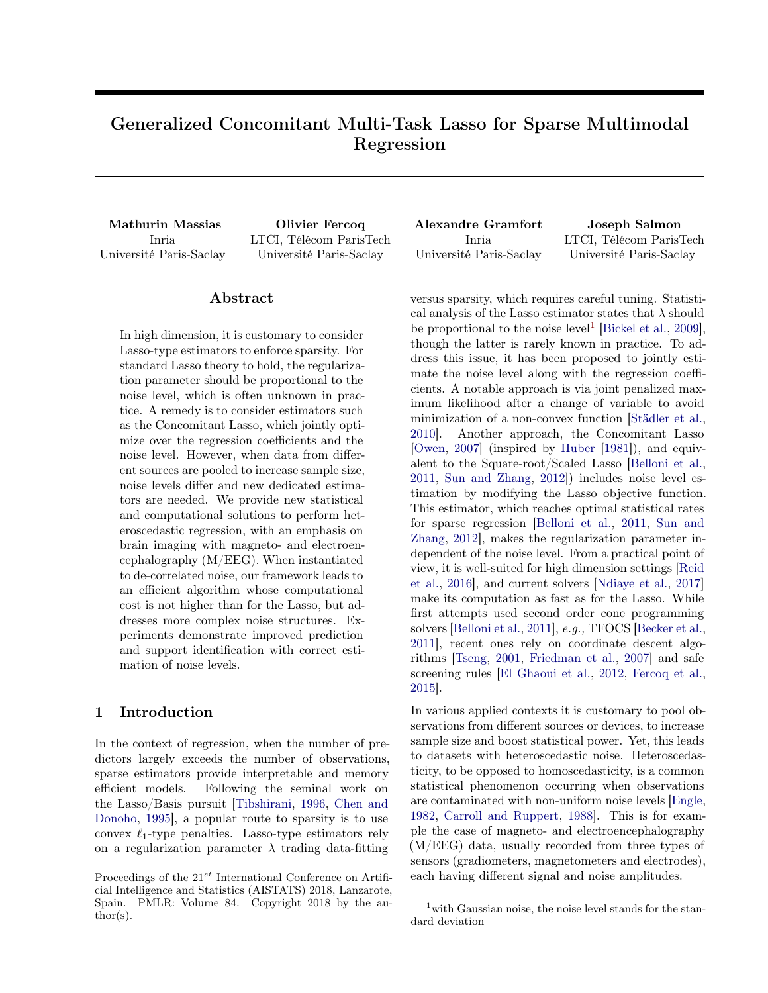# Generalized Concomitant Multi-Task Lasso for Sparse Multimodal Regression

Inria Université Paris-Saclay

Mathurin Massias Olivier Fercoq Alexandre Gramfort Joseph Salmon LTCI, Télécom ParisTech Université Paris-Saclay

Inria Université Paris-Saclay LTCI, Télécom ParisTech Université Paris-Saclay

## Abstract

In high dimension, it is customary to consider Lasso-type estimators to enforce sparsity. For standard Lasso theory to hold, the regularization parameter should be proportional to the noise level, which is often unknown in practice. A remedy is to consider estimators such as the Concomitant Lasso, which jointly optimize over the regression coefficients and the noise level. However, when data from different sources are pooled to increase sample size, noise levels differ and new dedicated estimators are needed. We provide new statistical and computational solutions to perform heteroscedastic regression, with an emphasis on brain imaging with magneto- and electroencephalography (M/EEG). When instantiated to de-correlated noise, our framework leads to an efficient algorithm whose computational cost is not higher than for the Lasso, but addresses more complex noise structures. Experiments demonstrate improved prediction and support identification with correct estimation of noise levels.

## 1 Introduction

In the context of regression, when the number of predictors largely exceeds the number of observations, sparse estimators provide interpretable and memory efficient models. Following the seminal work on the Lasso/Basis pursuit [\[Tibshirani,](#page-8-0) [1996,](#page-8-0) [Chen and](#page-8-1) [Donoho,](#page-8-1) [1995\]](#page-8-1), a popular route to sparsity is to use convex  $\ell_1$ -type penalties. Lasso-type estimators rely on a regularization parameter  $\lambda$  trading data-fitting

versus sparsity, which requires careful tuning. Statistical analysis of the Lasso estimator states that  $\lambda$  should be proportional to the noise level<sup>[1](#page-0-0)</sup> [\[Bickel et al.,](#page-8-2) [2009\]](#page-8-2), though the latter is rarely known in practice. To address this issue, it has been proposed to jointly estimate the noise level along with the regression coefficients. A notable approach is via joint penalized maximum likelihood after a change of variable to avoid minimization of a non-convex function [\[Städler et al.,](#page-8-3) [2010\]](#page-8-3). Another approach, the Concomitant Lasso [\[Owen,](#page-8-4) [2007\]](#page-8-4) (inspired by [Huber](#page-8-5) [\[1981\]](#page-8-5)), and equivalent to the Square-root/Scaled Lasso [\[Belloni et al.,](#page-8-6) [2011,](#page-8-6) [Sun and Zhang,](#page-8-7) [2012\]](#page-8-7)) includes noise level estimation by modifying the Lasso objective function. This estimator, which reaches optimal statistical rates for sparse regression [\[Belloni et al.,](#page-8-6) [2011,](#page-8-6) [Sun and](#page-8-7) [Zhang,](#page-8-7) [2012\]](#page-8-7), makes the regularization parameter independent of the noise level. From a practical point of view, it is well-suited for high dimension settings [\[Reid](#page-8-8) [et al.,](#page-8-8) [2016\]](#page-8-8), and current solvers [\[Ndiaye et al.,](#page-8-9) [2017\]](#page-8-9) make its computation as fast as for the Lasso. While first attempts used second order cone programming solvers [\[Belloni et al.,](#page-8-6) [2011\]](#page-8-6), e.g., TFOCS [\[Becker et al.,](#page-8-10) [2011\]](#page-8-10), recent ones rely on coordinate descent algorithms [\[Tseng,](#page-8-11) [2001,](#page-8-11) [Friedman et al.,](#page-8-12) [2007\]](#page-8-12) and safe screening rules [\[El Ghaoui et al.,](#page-8-13) [2012,](#page-8-13) [Fercoq et al.,](#page-8-14) [2015\]](#page-8-14).

In various applied contexts it is customary to pool observations from different sources or devices, to increase sample size and boost statistical power. Yet, this leads to datasets with heteroscedastic noise. Heteroscedasticity, to be opposed to homoscedasticity, is a common statistical phenomenon occurring when observations are contaminated with non-uniform noise levels [\[Engle,](#page-8-15) [1982,](#page-8-15) [Carroll and Ruppert,](#page-8-16) [1988\]](#page-8-16). This is for example the case of magneto- and electroencephalography (M/EEG) data, usually recorded from three types of sensors (gradiometers, magnetometers and electrodes), each having different signal and noise amplitudes.

Proceedings of the  $21^{st}$  International Conference on Artificial Intelligence and Statistics (AISTATS) 2018, Lanzarote, Spain. PMLR: Volume 84. Copyright 2018 by the au- $\text{thor}(s)$ .

<span id="page-0-0"></span><sup>&</sup>lt;sup>1</sup> with Gaussian noise, the noise level stands for the standard deviation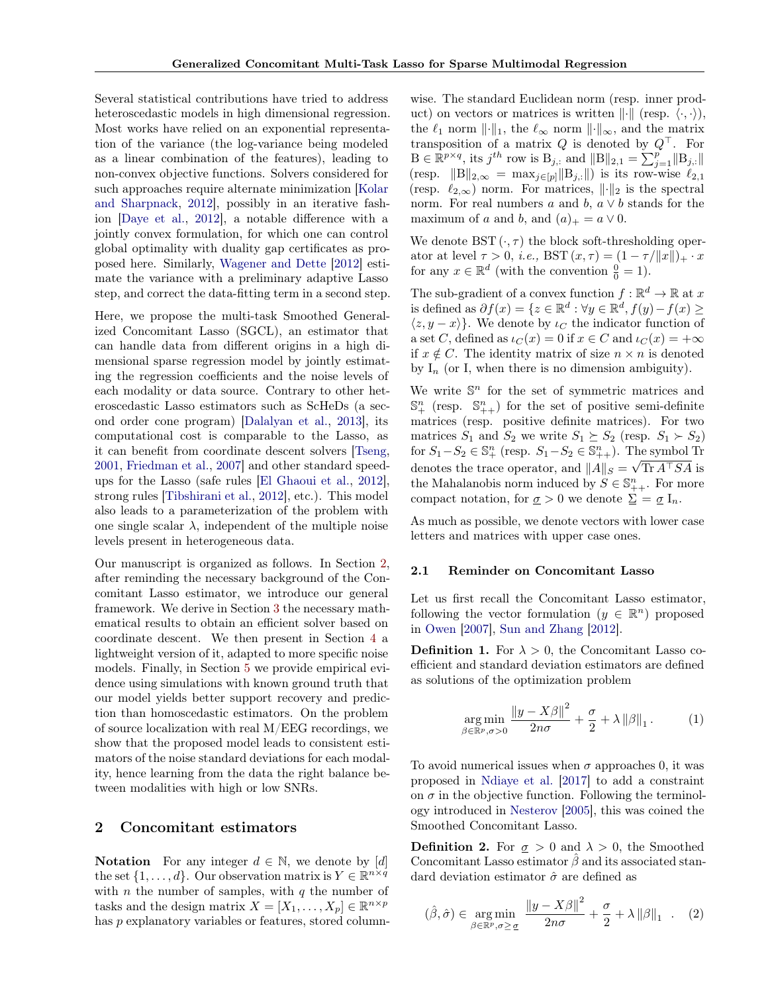Several statistical contributions have tried to address heteroscedastic models in high dimensional regression. Most works have relied on an exponential representation of the variance (the log-variance being modeled as a linear combination of the features), leading to non-convex objective functions. Solvers considered for such approaches require alternate minimization [\[Kolar](#page-8-17) [and Sharpnack,](#page-8-17) [2012\]](#page-8-17), possibly in an iterative fashion [\[Daye et al.,](#page-8-18) [2012\]](#page-8-18), a notable difference with a jointly convex formulation, for which one can control global optimality with duality gap certificates as proposed here. Similarly, [Wagener and Dette](#page-8-19) [\[2012\]](#page-8-19) estimate the variance with a preliminary adaptive Lasso step, and correct the data-fitting term in a second step.

Here, we propose the multi-task Smoothed Generalized Concomitant Lasso (SGCL), an estimator that can handle data from different origins in a high dimensional sparse regression model by jointly estimating the regression coefficients and the noise levels of each modality or data source. Contrary to other heteroscedastic Lasso estimators such as ScHeDs (a second order cone program) [\[Dalalyan et al.,](#page-8-20) [2013\]](#page-8-20), its computational cost is comparable to the Lasso, as it can benefit from coordinate descent solvers [\[Tseng,](#page-8-11) [2001,](#page-8-11) [Friedman et al.,](#page-8-12) [2007\]](#page-8-12) and other standard speedups for the Lasso (safe rules [\[El Ghaoui et al.,](#page-8-13) [2012\]](#page-8-13), strong rules [\[Tibshirani et al.,](#page-8-21) [2012\]](#page-8-21), etc.). This model also leads to a parameterization of the problem with one single scalar  $\lambda$ , independent of the multiple noise levels present in heterogeneous data.

Our manuscript is organized as follows. In Section [2,](#page-1-0) after reminding the necessary background of the Concomitant Lasso estimator, we introduce our general framework. We derive in Section [3](#page-2-0) the necessary mathematical results to obtain an efficient solver based on coordinate descent. We then present in Section [4](#page-3-0) a lightweight version of it, adapted to more specific noise models. Finally, in Section [5](#page-4-0) we provide empirical evidence using simulations with known ground truth that our model yields better support recovery and prediction than homoscedastic estimators. On the problem of source localization with real M/EEG recordings, we show that the proposed model leads to consistent estimators of the noise standard deviations for each modality, hence learning from the data the right balance between modalities with high or low SNRs.

## <span id="page-1-0"></span>2 Concomitant estimators

**Notation** For any integer  $d \in \mathbb{N}$ , we denote by [d] the set  $\{1, \ldots, d\}$ . Our observation matrix is  $Y \in \mathbb{R}^{n \times q}$ with  $n$  the number of samples, with  $q$  the number of tasks and the design matrix  $X = [X_1, \ldots, X_p] \in \mathbb{R}^{n \times p}$ has p explanatory variables or features, stored column-

wise. The standard Euclidean norm (resp. inner product) on vectors or matrices is written  $\|\cdot\|$  (resp.  $\langle \cdot, \cdot \rangle$ ), the  $\ell_1$  norm  $\lVert \cdot \rVert_1$ , the  $\ell_{\infty}$  norm  $\lVert \cdot \rVert_{\infty}$ , and the matrix transposition of a matrix  $Q$  is denoted by  $Q^{\top}$ . For  $B \in \mathbb{R}^{p \times q}$ , its  $j^{th}$  row is  $B_{j,:}$  and  $||B||_{2,1} = \sum_{j=1}^{p} ||B_{j,:}||$ (resp.  $||B||_{2,\infty} = \max_{j \in [p]} ||B_{j,:}||$ ) is its row-wise  $\ell_{2,1}$ (resp.  $\ell_{2,\infty}$ ) norm. For matrices,  $\lVert \cdot \rVert_2$  is the spectral norm. For real numbers a and b,  $a \vee b$  stands for the maximum of a and b, and  $(a)_+ = a \vee 0$ .

We denote  $\mathrm{BST}(\cdot, \tau)$  the block soft-thresholding operator at level  $\tau > 0$ , *i.e.*, BST  $(x, \tau) = (1 - \tau / ||x||)_{+} \cdot x$ for any  $x \in \mathbb{R}^d$  (with the convention  $\frac{0}{0} = 1$ ).

The sub-gradient of a convex function  $f : \mathbb{R}^d \to \mathbb{R}$  at x is defined as  $\partial f(x) = \{ z \in \mathbb{R}^d : \forall y \in \mathbb{R}^d, f(y) - f(x) \geq 0 \}$  $\langle z, y - x \rangle$ . We denote by  $\iota_C$  the indicator function of a set C, defined as  $\iota_C(x) = 0$  if  $x \in C$  and  $\iota_C(x) = +\infty$ if  $x \notin C$ . The identity matrix of size  $n \times n$  is denoted by  $I_n$  (or I, when there is no dimension ambiguity).

We write  $\mathbb{S}^n$  for the set of symmetric matrices and  $\mathbb{S}^n_+$  (resp.  $\mathbb{S}^n_{++}$ ) for the set of positive semi-definite matrices (resp. positive definite matrices). For two matrices  $S_1$  and  $S_2$  we write  $S_1 \succeq S_2$  (resp.  $S_1 \succ S_2$ ) for  $S_1 - S_2 \in \mathbb{S}^n_+$  (resp.  $S_1 - S_2 \in \mathbb{S}^n_{++}$ ). The symbol Tr denotes the trace operator, and  $||A||_S = \sqrt{\text{Tr } A^\top SA}$  is the Mahalanobis norm induced by  $S \in \mathbb{S}_{++}^n$ . For more compact notation, for  $\sigma > 0$  we denote  $\Sigma = \sigma I_n$ .

As much as possible, we denote vectors with lower case letters and matrices with upper case ones.

## 2.1 Reminder on Concomitant Lasso

Let us first recall the Concomitant Lasso estimator, following the vector formulation  $(y \in \mathbb{R}^n)$  proposed in [Owen](#page-8-4) [\[2007\]](#page-8-4), [Sun and Zhang](#page-8-7) [\[2012\]](#page-8-7).

**Definition 1.** For  $\lambda > 0$ , the Concomitant Lasso coefficient and standard deviation estimators are defined as solutions of the optimization problem

$$
\underset{\beta \in \mathbb{R}^p, \sigma > 0}{\arg \min} \frac{\left\| y - X\beta \right\|^2}{2n\sigma} + \frac{\sigma}{2} + \lambda \left\| \beta \right\|_1. \tag{1}
$$

To avoid numerical issues when  $\sigma$  approaches 0, it was proposed in [Ndiaye et al.](#page-8-9) [\[2017\]](#page-8-9) to add a constraint on  $\sigma$  in the objective function. Following the terminology introduced in [Nesterov](#page-8-22) [\[2005\]](#page-8-22), this was coined the Smoothed Concomitant Lasso.

**Definition 2.** For  $q > 0$  and  $\lambda > 0$ , the Smoothed Concomitant Lasso estimator  $\beta$  and its associated standard deviation estimator  $\hat{\sigma}$  are defined as

$$
(\hat{\beta}, \hat{\sigma}) \in \underset{\beta \in \mathbb{R}^p, \sigma \ge \sigma}{\arg \min} \frac{\left\|y - X\beta\right\|^2}{2n\sigma} + \frac{\sigma}{2} + \lambda \left\|\beta\right\|_1 \quad . \quad (2)
$$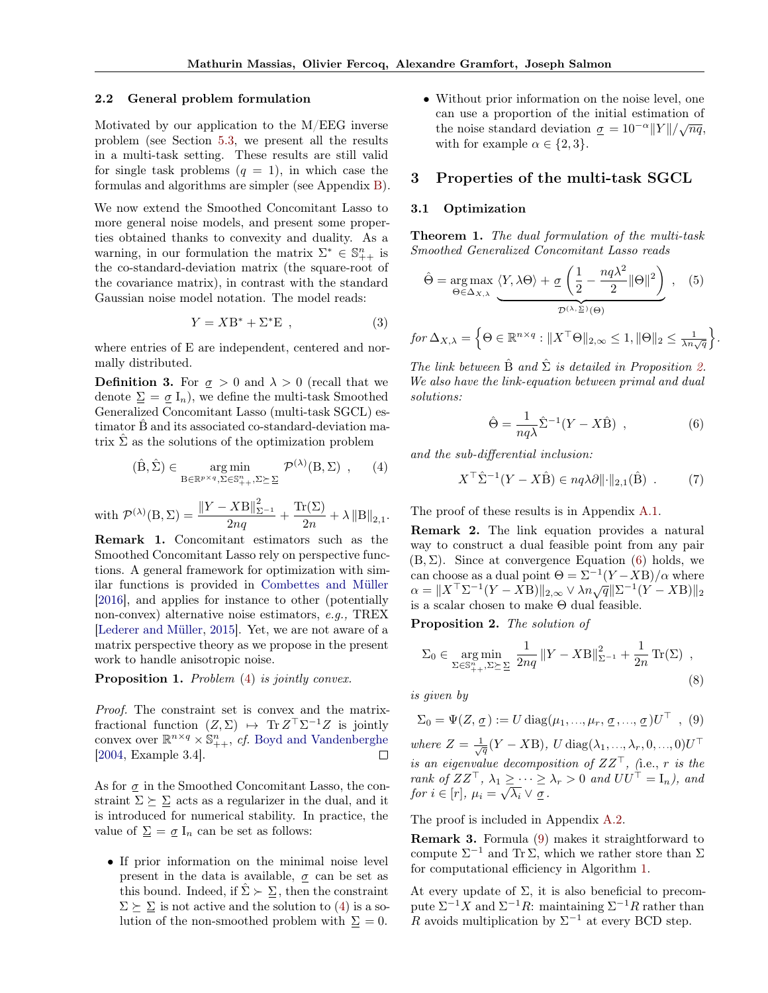#### 2.2 General problem formulation

Motivated by our application to the M/EEG inverse problem (see Section [5.3,](#page-6-0) we present all the results in a multi-task setting. These results are still valid for single task problems  $(q = 1)$ , in which case the formulas and algorithms are simpler (see Appendix [B\)](#page-12-0).

We now extend the Smoothed Concomitant Lasso to more general noise models, and present some properties obtained thanks to convexity and duality. As a warning, in our formulation the matrix  $\Sigma^* \in \mathbb{S}_{++}^n$  is the co-standard-deviation matrix (the square-root of the covariance matrix), in contrast with the standard Gaussian noise model notation. The model reads:

$$
Y = XB^* + \Sigma^* \mathcal{E} \tag{3}
$$

where entries of E are independent, centered and normally distributed.

**Definition 3.** For  $\sigma > 0$  and  $\lambda > 0$  (recall that we denote  $\Sigma = \underline{\sigma} I_n$ , we define the multi-task Smoothed Generalized Concomitant Lasso (multi-task SGCL) estimator  $\hat{B}$  and its associated co-standard-deviation matrix  $\hat{\Sigma}$  as the solutions of the optimization problem

$$
(\hat{B}, \hat{\Sigma}) \in \underset{B \in \mathbb{R}^{p \times q}, \Sigma \in \mathbb{S}_{++}^{n}, \Sigma \succeq \Sigma}{\arg \min} \mathcal{P}^{(\lambda)}(B, \Sigma) , \qquad (4)
$$

with  $\mathcal{P}^{(\lambda)}(B,\Sigma) = \frac{\left\|Y-XB\right\|_{\Sigma^{-1}}^2}{2na}$  $\frac{X\mathrm{B}\|_{\Sigma^{-1}}^2}{2nq} + \frac{\mathrm{Tr}(\Sigma)}{2n}$  $\frac{1}{2n} + \lambda \|B\|_{2,1}.$ 

Remark 1. Concomitant estimators such as the Smoothed Concomitant Lasso rely on perspective functions. A general framework for optimization with similar functions is provided in [Combettes and Müller](#page-8-23) [\[2016\]](#page-8-23), and applies for instance to other (potentially non-convex) alternative noise estimators, e.g., TREX [\[Lederer and Müller,](#page-8-24) [2015\]](#page-8-24). Yet, we are not aware of a matrix perspective theory as we propose in the present work to handle anisotropic noise.

Proposition 1. Problem [\(4\)](#page-2-1) is jointly convex.

Proof. The constraint set is convex and the matrixfractional function  $(Z, \Sigma) \mapsto \text{Tr } Z^{\top} \Sigma^{-1} Z$  is jointly convex over  $\mathbb{R}^{n \times q} \times \mathbb{S}_{++}^n$ , *cf.* [Boyd and Vandenberghe](#page-8-25) [\[2004,](#page-8-25) Example 3.4].

As for  $\sigma$  in the Smoothed Concomitant Lasso, the constraint  $\Sigma \succeq \Sigma$  acts as a regularizer in the dual, and it is introduced for numerical stability. In practice, the value of  $\Sigma = \underline{\sigma} I_n$  can be set as follows:

• If prior information on the minimal noise level present in the data is available,  $\sigma$  can be set as this bound. Indeed, if  $\hat{\Sigma} \succ \Sigma$ , then the constraint  $\Sigma \succeq \Sigma$  is not active and the solution to [\(4\)](#page-2-1) is a solution of the non-smoothed problem with  $\Sigma = 0$ .

• Without prior information on the noise level, one can use a proportion of the initial estimation of the noise standard deviation  $\sigma = 10^{-\alpha} ||Y|| / \sqrt{nq}$ , with for example  $\alpha \in \{2,3\}.$ 

## <span id="page-2-0"></span>3 Properties of the multi-task SGCL

## 3.1 Optimization

<span id="page-2-7"></span>Theorem 1. The dual formulation of the multi-task Smoothed Generalized Concomitant Lasso reads

<span id="page-2-5"></span>
$$
\hat{\Theta} = \underset{\Theta \in \Delta_{X,\lambda}}{\arg \max} \underbrace{\langle Y, \lambda \Theta \rangle + \underline{\sigma} \left( \frac{1}{2} - \frac{nq\lambda^2}{2} ||\Theta||^2 \right)}_{\mathcal{D}^{(\lambda, \Sigma)}(\Theta)}, \quad (5)
$$

$$
for \Delta_{X,\lambda} = \left\{ \Theta \in \mathbb{R}^{n \times q} : \|X^{\top}\Theta\|_{2,\infty} \le 1, \|\Theta\|_2 \le \frac{1}{\lambda n \sqrt{q}} \right\}
$$

The link between  $\hat{B}$  and  $\hat{\Sigma}$  is detailed in Proposition [2.](#page-2-2) We also have the link-equation between primal and dual solutions:

<span id="page-2-3"></span>
$$
\hat{\Theta} = \frac{1}{nq\lambda} \hat{\Sigma}^{-1} (Y - X\hat{\mathbf{B}}) , \qquad (6)
$$

.

<span id="page-2-1"></span>and the sub-differential inclusion:

$$
X^{\top} \hat{\Sigma}^{-1} (Y - X\hat{\mathbf{B}}) \in nq\lambda \partial ||\cdot||_{2,1}(\hat{\mathbf{B}}) . \tag{7}
$$

The proof of these results is in Appendix [A.1.](#page-10-0)

<span id="page-2-6"></span>Remark 2. The link equation provides a natural way to construct a dual feasible point from any pair  $(B, \Sigma)$ . Since at convergence Equation [\(6\)](#page-2-3) holds, we can choose as a dual point  $\Theta = \Sigma^{-1}(Y - XB)/\alpha$  where  $\alpha = \|X^\top \Sigma^{-1} (Y - X\mathbf{B})\|_{2,\infty} \vee \lambda n \sqrt{\mathfrak{q}} \|\Sigma^{-1} (Y - X\mathbf{B})\|_2$ is a scalar chosen to make Θ dual feasible.

<span id="page-2-2"></span>Proposition 2. The solution of

<span id="page-2-8"></span>
$$
\Sigma_0 \in \underset{\Sigma \in \mathbb{S}_{++}^n, \Sigma \succeq \Sigma}{\arg \min} \frac{1}{2nq} \|Y - XB\|_{\Sigma^{-1}}^2 + \frac{1}{2n} \operatorname{Tr}(\Sigma) ,
$$
\n(8)

is given by

<span id="page-2-4"></span>
$$
\Sigma_0 = \Psi(Z, \underline{\sigma}) := U \operatorname{diag}(\mu_1, ..., \mu_r, \underline{\sigma}, ..., \underline{\sigma}) U^{\top} , (9)
$$

where  $Z = \frac{1}{\sqrt{q}}(Y - XB)$ , U diag $(\lambda_1, ..., \lambda_r, 0, ..., 0)U^{\top}$ is an eigenvalue decomposition of  $ZZ^{\top}$ , (i.e., r is the rank of  $ZZ^{\top}$ ,  $\lambda_1 \geq \cdots \geq \lambda_r > 0$  and  $UU^{\top} = I_n$ ), and for  $i \in [r]$ ,  $\mu_i = \sqrt{\lambda_i} \vee \underline{\sigma}$ .

The proof is included in Appendix [A.2.](#page-10-1)

Remark 3. Formula [\(9\)](#page-2-4) makes it straightforward to compute  $\Sigma^{-1}$  and Tr  $\Sigma$ , which we rather store than  $\Sigma$ for computational efficiency in Algorithm [1.](#page-3-1)

At every update of  $\Sigma$ , it is also beneficial to precompute  $\Sigma^{-1}X$  and  $\Sigma^{-1}R$ : maintaining  $\Sigma^{-1}R$  rather than R avoids multiplication by  $\Sigma^{-1}$  at every BCD step.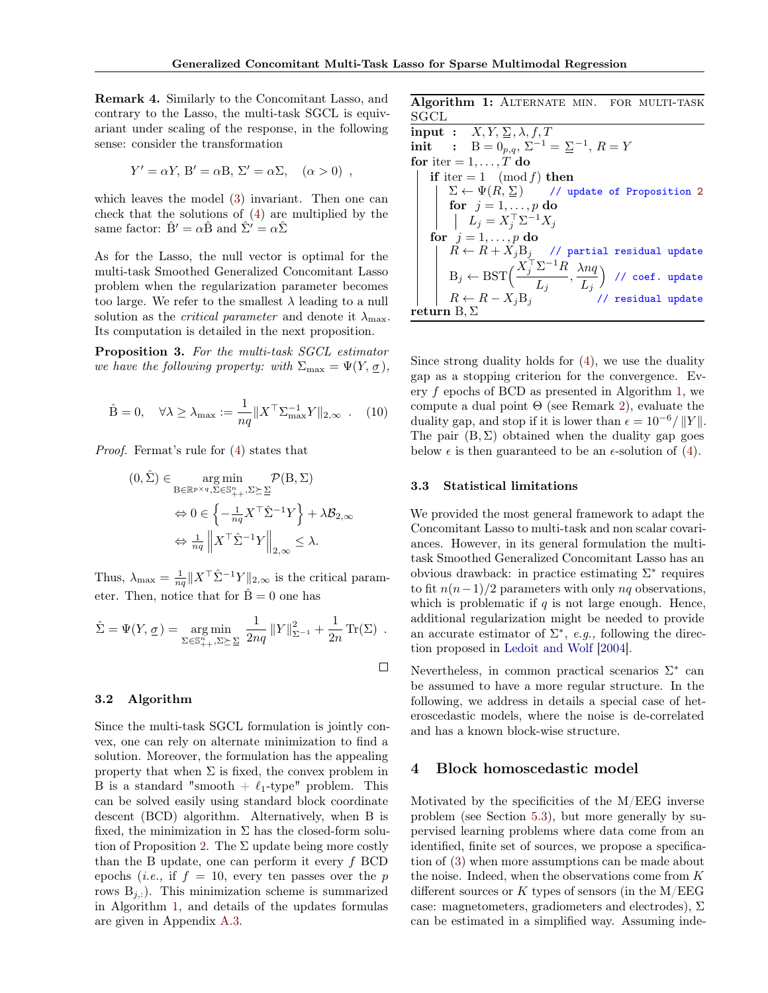Remark 4. Similarly to the Concomitant Lasso, and contrary to the Lasso, the multi-task SGCL is equivariant under scaling of the response, in the following sense: consider the transformation

$$
Y' = \alpha Y, B' = \alpha B, \Sigma' = \alpha \Sigma, \quad (\alpha > 0) ,
$$

which leaves the model [\(3\)](#page-2-5) invariant. Then one can check that the solutions of [\(4\)](#page-2-1) are multiplied by the same factor:  $\hat{\mathbf{B}}' = \alpha \hat{\mathbf{B}}$  and  $\hat{\Sigma}' = \alpha \hat{\Sigma}$ 

As for the Lasso, the null vector is optimal for the multi-task Smoothed Generalized Concomitant Lasso problem when the regularization parameter becomes too large. We refer to the smallest  $\lambda$  leading to a null solution as the *critical parameter* and denote it  $\lambda_{\text{max}}$ . Its computation is detailed in the next proposition.

<span id="page-3-3"></span>Proposition 3. For the multi-task SGCL estimator we have the following property: with  $\Sigma_{\text{max}} = \Psi(Y, \underline{\sigma})$ ,

$$
\hat{\mathbf{B}} = 0, \quad \forall \lambda \ge \lambda_{\text{max}} := \frac{1}{nq} \| X^\top \Sigma_{\text{max}}^{-1} Y \|_{2,\infty} \quad . \quad (10)
$$

Proof. Fermat's rule for [\(4\)](#page-2-1) states that

$$
(0, \hat{\Sigma}) \in \underset{\mathbf{B} \in \mathbb{R}^{p \times q}, \Sigma \in \mathbb{S}_{++}^{n}, \Sigma \succeq \Sigma}{\arg \min} \mathcal{P}(\mathbf{B}, \Sigma)
$$

$$
\Leftrightarrow 0 \in \left\{ -\frac{1}{nq} X^{\top} \hat{\Sigma}^{-1} Y \right\} + \lambda \mathcal{B}_{2, \infty}
$$

$$
\Leftrightarrow \frac{1}{nq} \left\| X^{\top} \hat{\Sigma}^{-1} Y \right\|_{2, \infty} \le \lambda.
$$

Thus,  $\lambda_{\text{max}} = \frac{1}{nq} ||X^{\top} \hat{\Sigma}^{-1} Y||_{2,\infty}$  is the critical parameter. Then, notice that for  $\hat{B} = 0$  one has

$$
\hat{\Sigma} = \Psi(Y, \underline{\sigma}) = \underset{\Sigma \in \mathbb{S}_{++}^n, \Sigma \succeq \underline{\Sigma}}{\arg \min} \frac{1}{2nq} ||Y||_{\Sigma^{-1}}^2 + \frac{1}{2n} \operatorname{Tr}(\Sigma) .
$$

#### <span id="page-3-2"></span>3.2 Algorithm

Since the multi-task SGCL formulation is jointly convex, one can rely on alternate minimization to find a solution. Moreover, the formulation has the appealing property that when  $\Sigma$  is fixed, the convex problem in B is a standard "smooth  $+ \ell_1$ -type" problem. This can be solved easily using standard block coordinate descent (BCD) algorithm. Alternatively, when B is fixed, the minimization in  $\Sigma$  has the closed-form solu-tion of Proposition [2.](#page-2-2) The  $\Sigma$  update being more costly than the B update, one can perform it every  $f$  BCD epochs (*i.e.*, if  $f = 10$ , every ten passes over the p rows  $B_{j,:}$ ). This minimization scheme is summarized in Algorithm [1,](#page-3-1) and details of the updates formulas are given in Appendix [A.3.](#page-11-0)

Algorithm 1: ALTERNATE MIN. FOR MULTI-TASK SGCL

<span id="page-3-1"></span>
```
\ninput : X, Y, \n
$$
\Sigma, \lambda, f, T
$$
\ninit : B = 0p,q, \n $\Sigma^{-1} = \Sigma^{-1}, R = Y$ \n\nfor iter = 1, ..., T do\n    if iter = 1 (mod f) then\n     $\Sigma \leftarrow \Psi(R, \Sigma) \quad // \text{ update of Proposition 2}\n    for j = 1, ..., p do\n        L_j = X_j^\top \Sigma^{-1} X_j\n    for j = 1, ..., p do\n        R \leftarrow R + X_j B_j \quad // \text{ partial residual update}\n        B_j \leftarrow \text{BST}\left(\frac{X_j^\top \Sigma^{-1} R}{L_j}, \frac{\lambda n q}{L_j}\right) \quad // \text{ coef. update}\n        R \leftarrow R - X_j B_j \quad // \text{ residual update}\n    return B, \n$ 
```

Since strong duality holds for [\(4\)](#page-2-1), we use the duality gap as a stopping criterion for the convergence. Every f epochs of BCD as presented in Algorithm [1,](#page-3-1) we compute a dual point  $\Theta$  (see Remark [2\)](#page-2-6), evaluate the duality gap, and stop if it is lower than  $\epsilon = 10^{-6} / ||Y||$ . The pair  $(B, \Sigma)$  obtained when the duality gap goes below  $\epsilon$  is then guaranteed to be an  $\epsilon$ -solution of [\(4\)](#page-2-1).

#### 3.3 Statistical limitations

We provided the most general framework to adapt the Concomitant Lasso to multi-task and non scalar covariances. However, in its general formulation the multitask Smoothed Generalized Concomitant Lasso has an obvious drawback: in practice estimating  $\Sigma^*$  requires to fit  $n(n-1)/2$  parameters with only nq observations, which is problematic if  $q$  is not large enough. Hence, additional regularization might be needed to provide an accurate estimator of  $\Sigma^*$ , e.g., following the direction proposed in [Ledoit and Wolf](#page-8-26) [\[2004\]](#page-8-26).

Nevertheless, in common practical scenarios  $\Sigma^*$  can be assumed to have a more regular structure. In the following, we address in details a special case of heteroscedastic models, where the noise is de-correlated and has a known block-wise structure.

## <span id="page-3-0"></span>4 Block homoscedastic model

Motivated by the specificities of the M/EEG inverse problem (see Section [5.3\)](#page-6-0), but more generally by supervised learning problems where data come from an identified, finite set of sources, we propose a specification of [\(3\)](#page-2-5) when more assumptions can be made about the noise. Indeed, when the observations come from K different sources or  $K$  types of sensors (in the M/EEG case: magnetometers, gradiometers and electrodes),  $\Sigma$ can be estimated in a simplified way. Assuming inde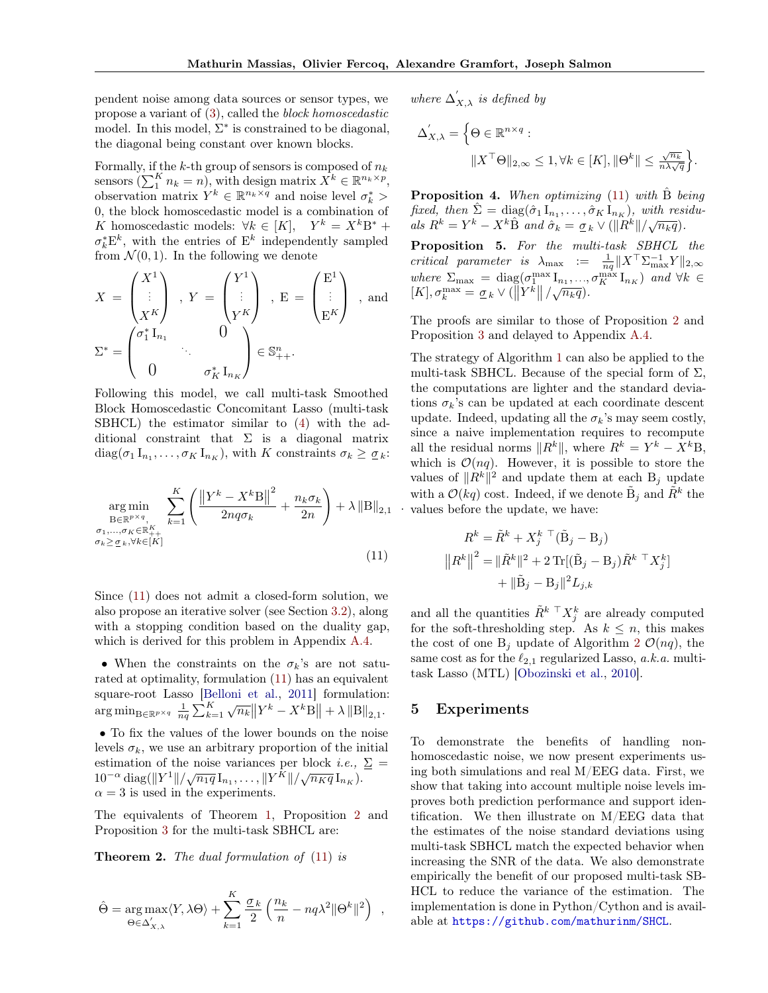pendent noise among data sources or sensor types, we propose a variant of [\(3\)](#page-2-5), called the block homoscedastic model. In this model,  $\Sigma^*$  is constrained to be diagonal, the diagonal being constant over known blocks.

Formally, if the  $k$ -th group of sensors is composed of  $n_k$ sensors  $(\sum_{1}^{K} n_k = n)$ , with design matrix  $X^{k} \in \mathbb{R}^{n_k \times p}$ , observation matrix  $Y^k \in \mathbb{R}^{n_k \times q}$  and noise level  $\sigma_k^*$  > 0, the block homoscedastic model is a combination of K homoscedastic models:  $\forall k \in [K], Y^k = X^k B^* +$  $\sigma_k^* \mathbf{E}^k$ , with the entries of  $\mathbf{E}^k$  independently sampled from  $\mathcal{N}(0, 1)$ . In the following we denote

$$
X = \begin{pmatrix} X^1 \\ \vdots \\ X^K \end{pmatrix} , Y = \begin{pmatrix} Y^1 \\ \vdots \\ Y^K \end{pmatrix} , E = \begin{pmatrix} E^1 \\ \vdots \\ E^K \end{pmatrix} , \text{and}
$$

$$
\Sigma^* = \begin{pmatrix} \sigma_1^* I_{n_1} & 0 \\ 0 & \vdots \\ 0 & \sigma_K^* I_{n_K} \end{pmatrix} \in \mathbb{S}_{++}^n.
$$

Following this model, we call multi-task Smoothed Block Homoscedastic Concomitant Lasso (multi-task SBHCL) the estimator similar to [\(4\)](#page-2-1) with the additional constraint that  $\Sigma$  is a diagonal matrix  $diag(\sigma_1 I_{n_1}, \ldots, \sigma_K I_{n_K}),$  with K constraints  $\sigma_k \geq \underline{\sigma}_k$ :

$$
\underset{\substack{\mathbf{B}\in\mathbb{R}^{p\times q},\\\sigma_{1},\ldots,\sigma_{K}\in\mathbb{R}^{K}_{++}\\ \sigma_{k}\geq\sigma_{k},\forall k\in[K]}}{\operatorname{arg\,min}_{k=1} \left\{ \frac{\left\|Y^{k}-X^{k}\mathbf{B}\right\|^{2}}{2nq\sigma_{k}} + \frac{n_{k}\sigma_{k}}{2n} \right\} + \lambda \left\|\mathbf{B}\right\|_{2,1}} \tag{11}
$$

Since [\(11\)](#page-4-1) does not admit a closed-form solution, we also propose an iterative solver (see Section [3.2\)](#page-3-2), along with a stopping condition based on the duality gap, which is derived for this problem in Appendix [A.4.](#page-11-1)

• When the constraints on the  $\sigma_k$ 's are not saturated at optimality, formulation [\(11\)](#page-4-1) has an equivalent square-root Lasso [\[Belloni et al.,](#page-8-6) [2011\]](#page-8-6) formulation:  $\arg \min_{\mathbf{B} \in \mathbb{R}^{p \times q}} \frac{1}{nq} \sum_{k=1}^{K} \sqrt{n_k} \|Y^k - X^k \mathbf{B}\| + \lambda \|\mathbf{B}\|_{2,1}.$ • To fix the values of the lower bounds on the noise levels  $\sigma_k$ , we use an arbitrary proportion of the initial estimation of the noise variances per block *i.e.*,  $\Sigma$  =

 $10^{-\alpha} \text{ diag}(\|Y^1\|/\sqrt{n_1q} \, I_{n_1}, \ldots, \|Y^{\tilde{K}}\|/\sqrt{n_Kq} \, I_{n_K}).$  $\alpha = 3$  is used in the experiments. The equivalents of Theorem [1,](#page-2-7) Proposition [2](#page-2-2) and

Proposition [3](#page-3-3) for the multi-task SBHCL are:

<span id="page-4-2"></span>**Theorem 2.** The dual formulation of [\(11\)](#page-4-1) is

$$
\hat{\Theta} = \underset{\Theta \in \Delta'_{X,\lambda}}{\arg \max} \langle Y, \lambda \Theta \rangle + \sum_{k=1}^{K} \frac{\sigma_k}{2} \left( \frac{n_k}{n} - nq\lambda^2 \|\Theta^k\|^2 \right)
$$

where 
$$
\Delta'_{X,\lambda}
$$
 is defined by  
\n
$$
\Delta'_{X,\lambda} = \left\{ \Theta \in \mathbb{R}^{n \times q} : \left\| X^\top \Theta \right\|_{2,\infty} \leq 1, \forall k \in [K], \|\Theta^k\| \leq \frac{\sqrt{n_k}}{n\lambda\sqrt{q}} \right\}.
$$

**Proposition 4.** When optimizing  $(11)$  with B being fixed, then  $\hat{\Sigma} = \text{diag}(\hat{\sigma}_1 I_{n_1}, \dots, \hat{\sigma}_K I_{n_K}),$  with residuals  $R^k = Y^k - X^k \hat{B}$  and  $\hat{\sigma}_k = \underline{\sigma}_k \vee (\|R^k\|/\sqrt{n_k q}).$ 

Proposition 5. For the multi-task SBHCL the critical parameter is  $\lambda_{\text{max}} := \frac{1}{nq} ||X^{\top} \Sigma_{\text{max}}^{-1} Y ||_{2,\infty}$ where  $\Sigma_{\text{max}} = \text{diag}(\sigma_1^{\text{max}} I_{n_1}, ..., \sigma_K^{\text{max}} I_{n_K})$  and  $\forall k \in$  $[K], \sigma_k^{\max} = \underline{\sigma}_k \vee (\left\| \underline{\dot{Y}}^k \right\| / \sqrt{n_k q}).$ 

The proofs are similar to those of Proposition [2](#page-2-2) and Proposition [3](#page-3-3) and delayed to Appendix [A.4.](#page-11-1)

. values before the update, we have: The strategy of Algorithm [1](#page-3-1) can also be applied to the multi-task SBHCL. Because of the special form of  $\Sigma$ , the computations are lighter and the standard deviations  $\sigma_k$ 's can be updated at each coordinate descent update. Indeed, updating all the  $\sigma_k$ 's may seem costly, since a naive implementation requires to recompute all the residual norms  $||R^k||$ , where  $R^k = Y^k - X^kB$ , which is  $\mathcal{O}(nq)$ . However, it is possible to store the values of  $||R^k||^2$  and update them at each B<sub>j</sub> update with a  $\mathcal{O}(kq)$  cost. Indeed, if we denote  $\tilde{\mathbf{B}}_j$  and  $\tilde{R}^k$  the

<span id="page-4-1"></span>
$$
R^{k} = \tilde{R}^{k} + X_{j}^{k} \top (\tilde{B}_{j} - B_{j})
$$
  

$$
||R^{k}||^{2} = ||\tilde{R}^{k}||^{2} + 2 \operatorname{Tr}[(\tilde{B}_{j} - B_{j})\tilde{R}^{k} \top X_{j}^{k}]
$$
  

$$
+ ||\tilde{B}_{j} - B_{j}||^{2}L_{j,k}
$$

and all the quantities  $\tilde{R}^k \overset{\top} X^k_j$  are already computed for the soft-thresholding step. As  $k \leq n$ , this makes the cost of one  $B_i$  update of Algorithm [2](#page-5-0)  $\mathcal{O}(nq)$ , the same cost as for the  $\ell_{2,1}$  regularized Lasso, a.k.a. multitask Lasso (MTL) [\[Obozinski et al.,](#page-8-27) [2010\]](#page-8-27).

## <span id="page-4-0"></span>5 Experiments

,

To demonstrate the benefits of handling nonhomoscedastic noise, we now present experiments using both simulations and real M/EEG data. First, we show that taking into account multiple noise levels improves both prediction performance and support identification. We then illustrate on M/EEG data that the estimates of the noise standard deviations using multi-task SBHCL match the expected behavior when increasing the SNR of the data. We also demonstrate empirically the benefit of our proposed multi-task SB-HCL to reduce the variance of the estimation. The implementation is done in Python/Cython and is available at <https://github.com/mathurinm/SHCL>.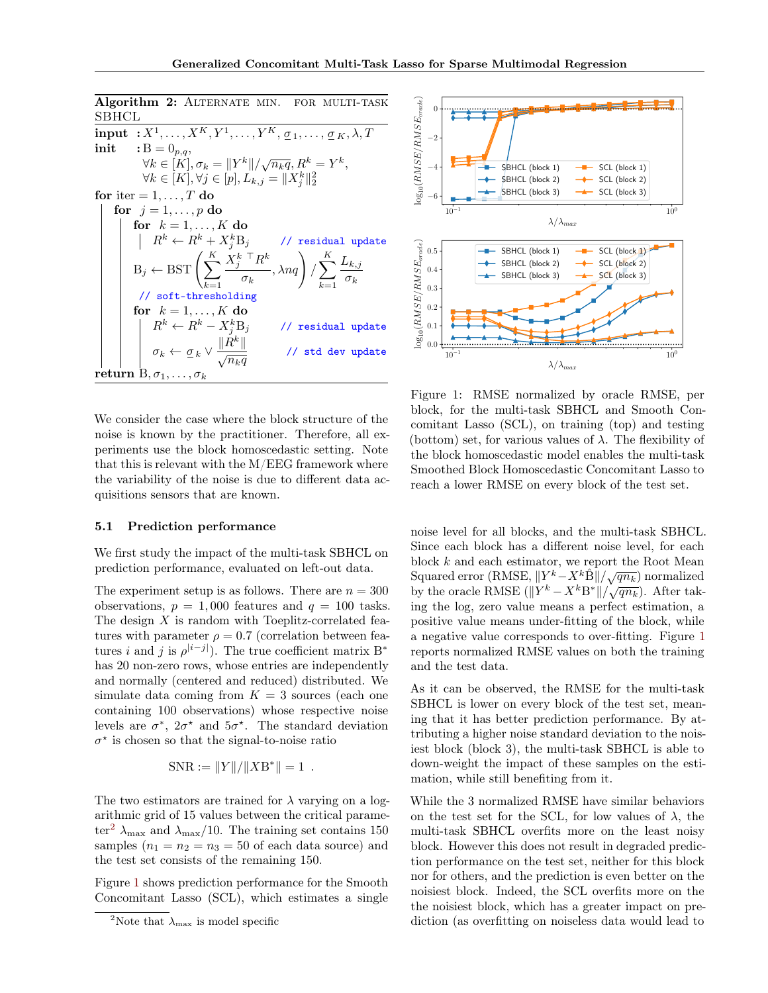Algorithm 2: ALTERNATE MIN. FOR MULTI-TASK SBHCL

<span id="page-5-0"></span>
```
\ninput : X1,..., XK, Y1,..., YK, 
$$
\underline{\sigma}_1, ..., \underline{\sigma}_K, \lambda, T
$$
\ninit : B = 0p,q,  
\n $\forall k \in [K], \sigma_k = ||Y^k|| / \sqrt{n_k q}, R^k = Y^k,$   
\n $\forall k \in [K], \forall j \in [p], L_{k,j} = ||X^k_j||_2^2$ \n\nfor iter = 1, ..., T do\nfor j = 1, ..., p do\nfor k = 1, ..., K do\n    | R^k \leftarrow R^k + X^k_j B_j / / \text{ residual update}\n    B_j \leftarrow \text{BST}\left(\sum_{k=1}^K \frac{X^k_j}{\sigma_k} + X^k_j B_j / \text{ residual update}\n    f / \text{soft-thresholding}\n    for k = 1, ..., K do\n        R^k \leftarrow R^k - X^k_j B_j / / \text{ residual update}\n    \sigma_k \leftarrow \underline{\sigma}_k \vee \frac{||R^k||}{\sqrt{n_k q}} / / \text{ residual update}\n    \tau_k + \sigma_k \vee \frac{||R^k||}{\sqrt{n_k q}} / / \text{std dev update}\n    \tau_k + \sigma_k \vee \frac{||R^k||}{\sqrt{n_k q}} / / \text{std dev update}\n
```

We consider the case where the block structure of the noise is known by the practitioner. Therefore, all experiments use the block homoscedastic setting. Note that this is relevant with the M/EEG framework where the variability of the noise is due to different data acquisitions sensors that are known.

#### <span id="page-5-3"></span>5.1 Prediction performance

We first study the impact of the multi-task SBHCL on prediction performance, evaluated on left-out data.

The experiment setup is as follows. There are  $n = 300$ observations,  $p = 1,000$  features and  $q = 100$  tasks. The design  $X$  is random with Toeplitz-correlated features with parameter  $\rho = 0.7$  (correlation between features *i* and *j* is  $\rho^{|i-j|}$ ). The true coefficient matrix B<sup>\*</sup> has 20 non-zero rows, whose entries are independently and normally (centered and reduced) distributed. We simulate data coming from  $K = 3$  sources (each one containing 100 observations) whose respective noise levels are  $\sigma^*$ ,  $2\sigma^*$  and  $5\sigma^*$ . The standard deviation  $\sigma^*$  is chosen so that the signal-to-noise ratio

$$
SNR := ||Y|| / ||XB^*|| = 1.
$$

The two estimators are trained for  $\lambda$  varying on a logarithmic grid of 15 values between the critical parame-ter<sup>[2](#page-5-1)</sup>  $\lambda_{\text{max}}$  and  $\lambda_{\text{max}}/10$ . The training set contains 150 samples  $(n_1 = n_2 = n_3 = 50$  of each data source) and the test set consists of the remaining 150.

Figure [1](#page-5-2) shows prediction performance for the Smooth Concomitant Lasso (SCL), which estimates a single

<span id="page-5-2"></span>

Figure 1: RMSE normalized by oracle RMSE, per block, for the multi-task SBHCL and Smooth Concomitant Lasso (SCL), on training (top) and testing (bottom) set, for various values of  $\lambda$ . The flexibility of the block homoscedastic model enables the multi-task Smoothed Block Homoscedastic Concomitant Lasso to reach a lower RMSE on every block of the test set.

noise level for all blocks, and the multi-task SBHCL. Since each block has a different noise level, for each block  $k$  and each estimator, we report the Root Mean Squared error (RMSE,  $||Y^k - X^k \hat{B}|| / \sqrt{qn_k}$ ) normalized by the oracle RMSE  $(||Y^k - X^k B^*|| / \sqrt{qn_k})$ . After taking the log, zero value means a perfect estimation, a positive value means under-fitting of the block, while a negative value corresponds to over-fitting. Figure [1](#page-5-2) reports normalized RMSE values on both the training and the test data.

As it can be observed, the RMSE for the multi-task SBHCL is lower on every block of the test set, meaning that it has better prediction performance. By attributing a higher noise standard deviation to the noisiest block (block 3), the multi-task SBHCL is able to down-weight the impact of these samples on the estimation, while still benefiting from it.

While the 3 normalized RMSE have similar behaviors on the test set for the SCL, for low values of  $\lambda$ , the multi-task SBHCL overfits more on the least noisy block. However this does not result in degraded prediction performance on the test set, neither for this block nor for others, and the prediction is even better on the noisiest block. Indeed, the SCL overfits more on the the noisiest block, which has a greater impact on prediction (as overfitting on noiseless data would lead to

<span id="page-5-1"></span><sup>&</sup>lt;sup>2</sup>Note that  $\lambda_{\text{max}}$  is model specific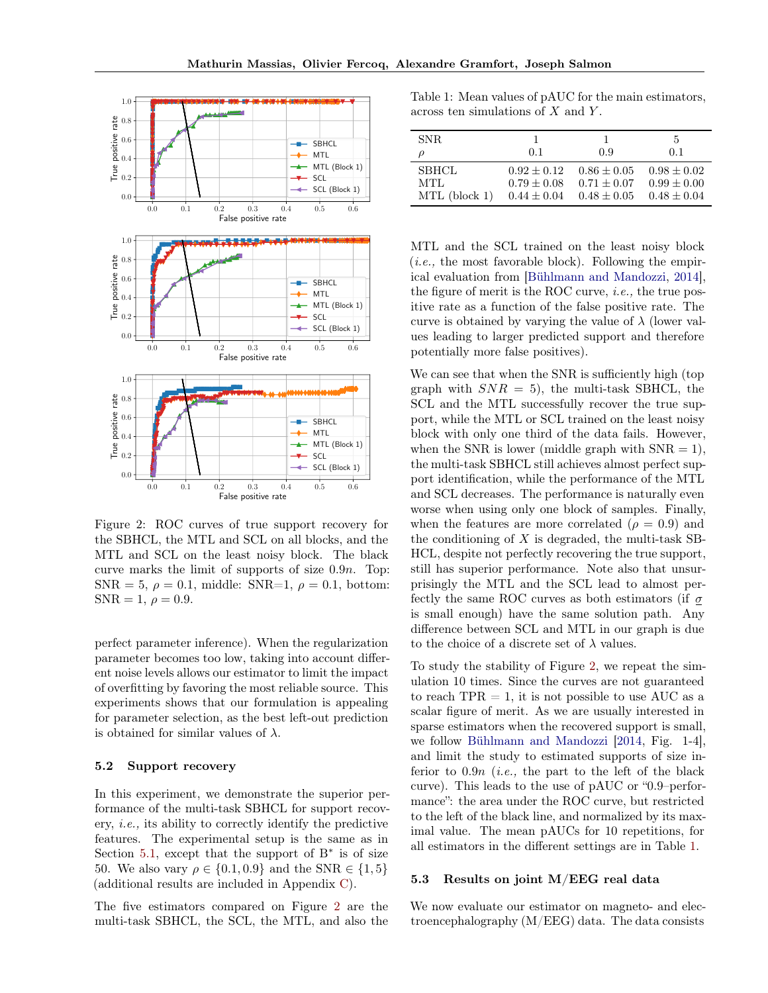<span id="page-6-1"></span>

Figure 2: ROC curves of true support recovery for the SBHCL, the MTL and SCL on all blocks, and the MTL and SCL on the least noisy block. The black curve marks the limit of supports of size 0.9n. Top:  $SNR = 5, \rho = 0.1, \text{ middle: } SNR = 1, \rho = 0.1, \text{ bottom:}$  $SNR = 1, \rho = 0.9.$ 

perfect parameter inference). When the regularization parameter becomes too low, taking into account different noise levels allows our estimator to limit the impact of overfitting by favoring the most reliable source. This experiments shows that our formulation is appealing for parameter selection, as the best left-out prediction is obtained for similar values of  $\lambda$ .

## 5.2 Support recovery

In this experiment, we demonstrate the superior performance of the multi-task SBHCL for support recovery, i.e., its ability to correctly identify the predictive features. The experimental setup is the same as in Section [5.1,](#page-5-3) except that the support of  $B^*$  is of size 50. We also vary  $\rho \in \{0.1, 0.9\}$  and the SNR  $\in \{1, 5\}$ (additional results are included in Appendix [C\)](#page-15-0).

The five estimators compared on Figure [2](#page-6-1) are the multi-task SBHCL, the SCL, the MTL, and also the

<span id="page-6-2"></span>Table 1: Mean values of pAUC for the main estimators, across ten simulations of  $X$  and  $Y$ .

| SNR.          |                 |                 | 5               |
|---------------|-----------------|-----------------|-----------------|
|               | 0.1             | 0.9             | 0.1             |
| <b>SBHCL</b>  | $0.92 + 0.12$   | $0.86 \pm 0.05$ | $0.98 \pm 0.02$ |
| MTL.          | $0.79 + 0.08$   | $0.71 + 0.07$   | $0.99 + 0.00$   |
| MTL (block 1) | $0.44 \pm 0.04$ | $0.48 + 0.05$   | $0.48 + 0.04$   |

MTL and the SCL trained on the least noisy block  $(i.e., the most favorable block). Following the empir$ ical evaluation from [\[Bühlmann and Mandozzi,](#page-9-0) [2014\]](#page-9-0), the figure of merit is the ROC curve, *i.e.*, the true positive rate as a function of the false positive rate. The curve is obtained by varying the value of  $\lambda$  (lower values leading to larger predicted support and therefore potentially more false positives).

We can see that when the SNR is sufficiently high (top graph with  $SNR = 5$ , the multi-task SBHCL, the SCL and the MTL successfully recover the true support, while the MTL or SCL trained on the least noisy block with only one third of the data fails. However, when the SNR is lower (middle graph with  $SNR = 1$ ), the multi-task SBHCL still achieves almost perfect support identification, while the performance of the MTL and SCL decreases. The performance is naturally even worse when using only one block of samples. Finally, when the features are more correlated ( $\rho = 0.9$ ) and the conditioning of  $X$  is degraded, the multi-task SB-HCL, despite not perfectly recovering the true support, still has superior performance. Note also that unsurprisingly the MTL and the SCL lead to almost perfectly the same ROC curves as both estimators (if  $\sigma$ is small enough) have the same solution path. Any difference between SCL and MTL in our graph is due to the choice of a discrete set of  $\lambda$  values.

To study the stability of Figure [2,](#page-6-1) we repeat the simulation 10 times. Since the curves are not guaranteed to reach  $TPR = 1$ , it is not possible to use AUC as a scalar figure of merit. As we are usually interested in sparse estimators when the recovered support is small, we follow [Bühlmann and Mandozzi](#page-9-0) [\[2014,](#page-9-0) Fig. 1-4], and limit the study to estimated supports of size inferior to  $0.9n$  (*i.e.*, the part to the left of the black curve). This leads to the use of pAUC or "0.9–performance": the area under the ROC curve, but restricted to the left of the black line, and normalized by its maximal value. The mean pAUCs for 10 repetitions, for all estimators in the different settings are in Table [1.](#page-6-2)

#### <span id="page-6-0"></span>5.3 Results on joint M/EEG real data

We now evaluate our estimator on magneto- and electroencephalography (M/EEG) data. The data consists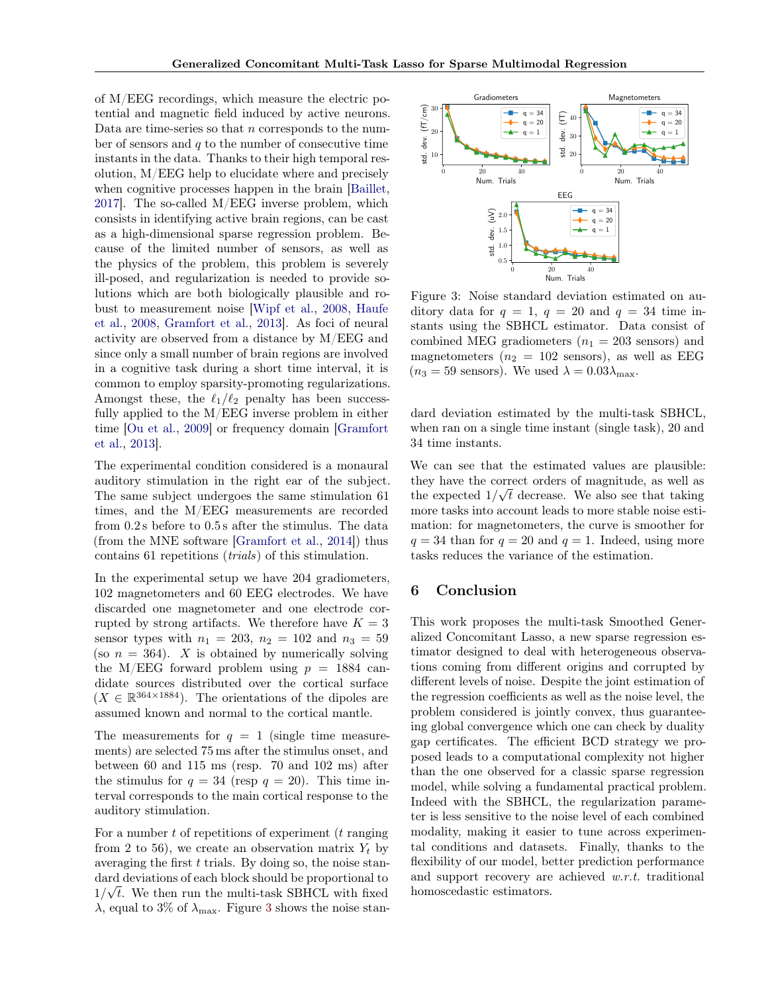of M/EEG recordings, which measure the electric potential and magnetic field induced by active neurons. Data are time-series so that  $n$  corresponds to the number of sensors and  $q$  to the number of consecutive time instants in the data. Thanks to their high temporal resolution, M/EEG help to elucidate where and precisely when cognitive processes happen in the brain [\[Baillet,](#page-9-1) [2017\]](#page-9-1). The so-called M/EEG inverse problem, which consists in identifying active brain regions, can be cast as a high-dimensional sparse regression problem. Because of the limited number of sensors, as well as the physics of the problem, this problem is severely ill-posed, and regularization is needed to provide solutions which are both biologically plausible and robust to measurement noise [\[Wipf et al.,](#page-9-2) [2008,](#page-9-2) [Haufe](#page-9-3) [et al.,](#page-9-3) [2008,](#page-9-3) [Gramfort et al.,](#page-9-4) [2013\]](#page-9-4). As foci of neural activity are observed from a distance by M/EEG and since only a small number of brain regions are involved in a cognitive task during a short time interval, it is common to employ sparsity-promoting regularizations. Amongst these, the  $\ell_1/\ell_2$  penalty has been successfully applied to the M/EEG inverse problem in either time [\[Ou et al.,](#page-9-5) [2009\]](#page-9-5) or frequency domain [\[Gramfort](#page-9-4) [et al.,](#page-9-4) [2013\]](#page-9-4).

The experimental condition considered is a monaural auditory stimulation in the right ear of the subject. The same subject undergoes the same stimulation 61 times, and the M/EEG measurements are recorded from 0.2 s before to 0.5 s after the stimulus. The data (from the MNE software [\[Gramfort et al.,](#page-9-6) [2014\]](#page-9-6)) thus contains 61 repetitions (trials) of this stimulation.

In the experimental setup we have 204 gradiometers, 102 magnetometers and 60 EEG electrodes. We have discarded one magnetometer and one electrode corrupted by strong artifacts. We therefore have  $K = 3$ sensor types with  $n_1 = 203$ ,  $n_2 = 102$  and  $n_3 = 59$ (so  $n = 364$ ). X is obtained by numerically solving the M/EEG forward problem using  $p = 1884$  candidate sources distributed over the cortical surface  $(X \in \mathbb{R}^{364 \times 1884})$ . The orientations of the dipoles are assumed known and normal to the cortical mantle.

The measurements for  $q = 1$  (single time measurements) are selected 75 ms after the stimulus onset, and between 60 and 115 ms (resp. 70 and 102 ms) after the stimulus for  $q = 34$  (resp  $q = 20$ ). This time interval corresponds to the main cortical response to the auditory stimulation.

For a number  $t$  of repetitions of experiment  $(t$  ranging from 2 to 56), we create an observation matrix  $Y_t$  by averaging the first  $t$  trials. By doing so, the noise standard deviations of each block should be proportional to  $1/\sqrt{t}$ . We then run the multi-task SBHCL with fixed  $\lambda$ , equal to [3](#page-7-0)% of  $\lambda_{\text{max}}$ . Figure 3 shows the noise stan-

<span id="page-7-0"></span>

Figure 3: Noise standard deviation estimated on auditory data for  $q = 1$ ,  $q = 20$  and  $q = 34$  time instants using the SBHCL estimator. Data consist of combined MEG gradiometers  $(n_1 = 203 \text{ sensors})$  and magnetometers  $(n_2 = 102 \text{ sensors})$ , as well as EEG  $(n_3 = 59 \text{ sensors})$ . We used  $\lambda = 0.03\lambda_{\text{max}}$ .

dard deviation estimated by the multi-task SBHCL, when ran on a single time instant (single task), 20 and 34 time instants.

We can see that the estimated values are plausible: they have the correct orders of magnitude, as well as the expected  $1/\sqrt{t}$  decrease. We also see that taking more tasks into account leads to more stable noise estimation: for magnetometers, the curve is smoother for  $q = 34$  than for  $q = 20$  and  $q = 1$ . Indeed, using more tasks reduces the variance of the estimation.

## 6 Conclusion

This work proposes the multi-task Smoothed Generalized Concomitant Lasso, a new sparse regression estimator designed to deal with heterogeneous observations coming from different origins and corrupted by different levels of noise. Despite the joint estimation of the regression coefficients as well as the noise level, the problem considered is jointly convex, thus guaranteeing global convergence which one can check by duality gap certificates. The efficient BCD strategy we proposed leads to a computational complexity not higher than the one observed for a classic sparse regression model, while solving a fundamental practical problem. Indeed with the SBHCL, the regularization parameter is less sensitive to the noise level of each combined modality, making it easier to tune across experimental conditions and datasets. Finally, thanks to the flexibility of our model, better prediction performance and support recovery are achieved w.r.t. traditional homoscedastic estimators.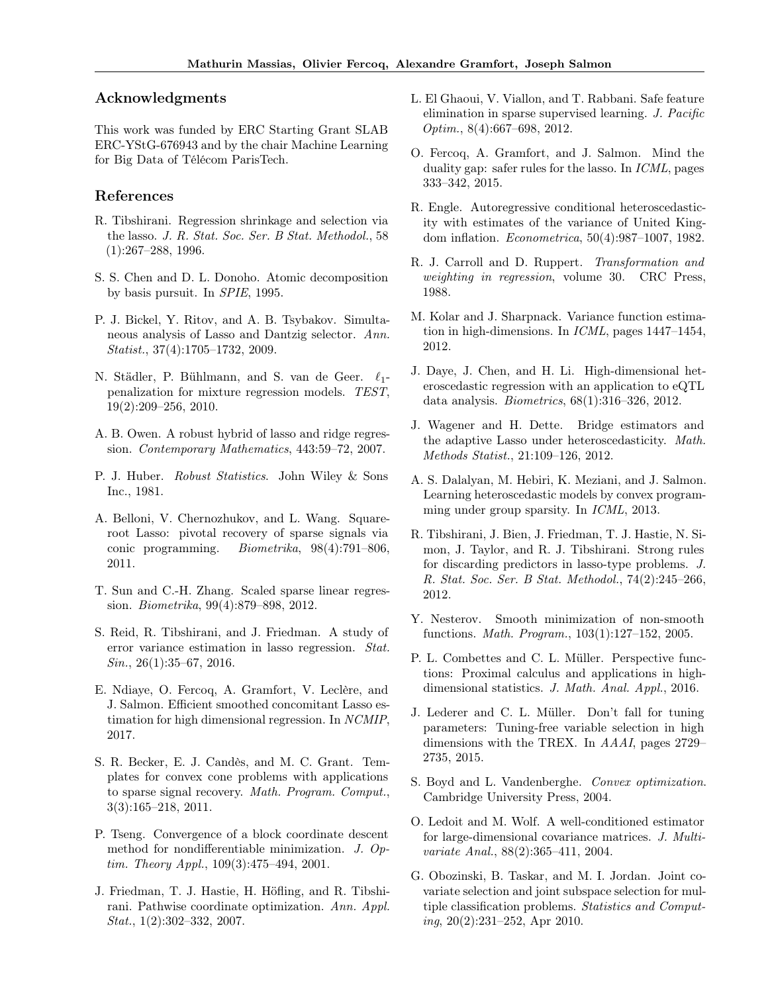## Acknowledgments

This work was funded by ERC Starting Grant SLAB ERC-YStG-676943 and by the chair Machine Learning for Big Data of Télécom ParisTech.

## References

- <span id="page-8-0"></span>R. Tibshirani. Regression shrinkage and selection via the lasso. J. R. Stat. Soc. Ser. B Stat. Methodol., 58 (1):267–288, 1996.
- <span id="page-8-1"></span>S. S. Chen and D. L. Donoho. Atomic decomposition by basis pursuit. In SPIE, 1995.
- <span id="page-8-2"></span>P. J. Bickel, Y. Ritov, and A. B. Tsybakov. Simultaneous analysis of Lasso and Dantzig selector. Ann. Statist., 37(4):1705–1732, 2009.
- <span id="page-8-3"></span>N. Städler, P. Bühlmann, and S. van de Geer.  $\ell_1$ penalization for mixture regression models. TEST, 19(2):209–256, 2010.
- <span id="page-8-4"></span>A. B. Owen. A robust hybrid of lasso and ridge regression. Contemporary Mathematics, 443:59–72, 2007.
- <span id="page-8-5"></span>P. J. Huber. Robust Statistics. John Wiley & Sons Inc., 1981.
- <span id="page-8-6"></span>A. Belloni, V. Chernozhukov, and L. Wang. Squareroot Lasso: pivotal recovery of sparse signals via conic programming. Biometrika, 98(4):791–806, 2011.
- <span id="page-8-7"></span>T. Sun and C.-H. Zhang. Scaled sparse linear regression. Biometrika, 99(4):879–898, 2012.
- <span id="page-8-8"></span>S. Reid, R. Tibshirani, and J. Friedman. A study of error variance estimation in lasso regression. Stat. Sin., 26(1):35–67, 2016.
- <span id="page-8-9"></span>E. Ndiaye, O. Fercoq, A. Gramfort, V. Leclère, and J. Salmon. Efficient smoothed concomitant Lasso estimation for high dimensional regression. In NCMIP, 2017.
- <span id="page-8-10"></span>S. R. Becker, E. J. Candès, and M. C. Grant. Templates for convex cone problems with applications to sparse signal recovery. Math. Program. Comput., 3(3):165–218, 2011.
- <span id="page-8-11"></span>P. Tseng. Convergence of a block coordinate descent method for nondifferentiable minimization. J. Optim. Theory Appl., 109(3):475–494, 2001.
- <span id="page-8-12"></span>J. Friedman, T. J. Hastie, H. Höfling, and R. Tibshirani. Pathwise coordinate optimization. Ann. Appl.  $Stat., 1(2):302-332, 2007.$
- <span id="page-8-13"></span>L. El Ghaoui, V. Viallon, and T. Rabbani. Safe feature elimination in sparse supervised learning. J. Pacific Optim., 8(4):667–698, 2012.
- <span id="page-8-14"></span>O. Fercoq, A. Gramfort, and J. Salmon. Mind the duality gap: safer rules for the lasso. In ICML, pages 333–342, 2015.
- <span id="page-8-15"></span>R. Engle. Autoregressive conditional heteroscedasticity with estimates of the variance of United Kingdom inflation. Econometrica, 50(4):987–1007, 1982.
- <span id="page-8-16"></span>R. J. Carroll and D. Ruppert. Transformation and weighting in regression, volume 30. CRC Press, 1988.
- <span id="page-8-17"></span>M. Kolar and J. Sharpnack. Variance function estimation in high-dimensions. In ICML, pages 1447–1454, 2012.
- <span id="page-8-18"></span>J. Daye, J. Chen, and H. Li. High-dimensional heteroscedastic regression with an application to eQTL data analysis. Biometrics, 68(1):316–326, 2012.
- <span id="page-8-19"></span>J. Wagener and H. Dette. Bridge estimators and the adaptive Lasso under heteroscedasticity. Math. Methods Statist., 21:109–126, 2012.
- <span id="page-8-20"></span>A. S. Dalalyan, M. Hebiri, K. Meziani, and J. Salmon. Learning heteroscedastic models by convex programming under group sparsity. In ICML, 2013.
- <span id="page-8-21"></span>R. Tibshirani, J. Bien, J. Friedman, T. J. Hastie, N. Simon, J. Taylor, and R. J. Tibshirani. Strong rules for discarding predictors in lasso-type problems. J. R. Stat. Soc. Ser. B Stat. Methodol., 74(2):245–266, 2012.
- <span id="page-8-22"></span>Y. Nesterov. Smooth minimization of non-smooth functions. Math. Program., 103(1):127–152, 2005.
- <span id="page-8-23"></span>P. L. Combettes and C. L. Müller. Perspective functions: Proximal calculus and applications in highdimensional statistics. J. Math. Anal. Appl., 2016.
- <span id="page-8-24"></span>J. Lederer and C. L. Müller. Don't fall for tuning parameters: Tuning-free variable selection in high dimensions with the TREX. In AAAI, pages 2729– 2735, 2015.
- <span id="page-8-25"></span>S. Boyd and L. Vandenberghe. Convex optimization. Cambridge University Press, 2004.
- <span id="page-8-26"></span>O. Ledoit and M. Wolf. A well-conditioned estimator for large-dimensional covariance matrices. J. Multivariate Anal., 88(2):365–411, 2004.
- <span id="page-8-27"></span>G. Obozinski, B. Taskar, and M. I. Jordan. Joint covariate selection and joint subspace selection for multiple classification problems. Statistics and Computing, 20(2):231–252, Apr 2010.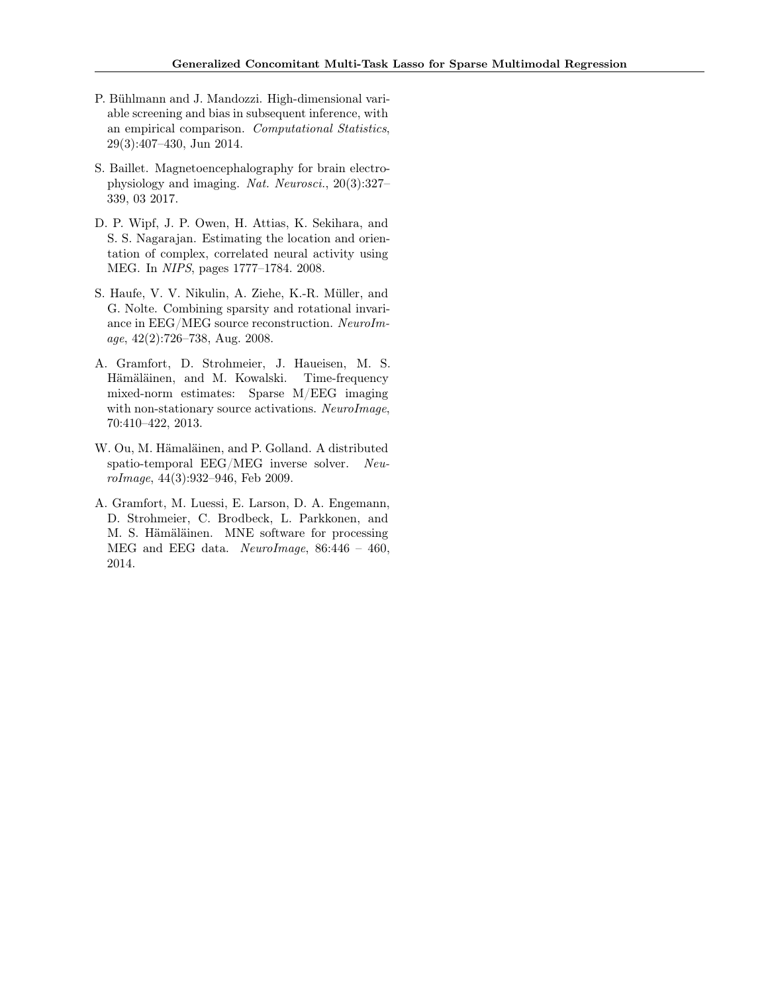- <span id="page-9-0"></span>P. Bühlmann and J. Mandozzi. High-dimensional variable screening and bias in subsequent inference, with an empirical comparison. Computational Statistics, 29(3):407–430, Jun 2014.
- <span id="page-9-1"></span>S. Baillet. Magnetoencephalography for brain electrophysiology and imaging. Nat. Neurosci., 20(3):327– 339, 03 2017.
- <span id="page-9-2"></span>D. P. Wipf, J. P. Owen, H. Attias, K. Sekihara, and S. S. Nagarajan. Estimating the location and orientation of complex, correlated neural activity using MEG. In NIPS, pages 1777–1784. 2008.
- <span id="page-9-3"></span>S. Haufe, V. V. Nikulin, A. Ziehe, K.-R. Müller, and G. Nolte. Combining sparsity and rotational invariance in EEG/MEG source reconstruction. NeuroImage, 42(2):726–738, Aug. 2008.
- <span id="page-9-4"></span>A. Gramfort, D. Strohmeier, J. Haueisen, M. S. Hämäläinen, and M. Kowalski. Time-frequency mixed-norm estimates: Sparse M/EEG imaging with non-stationary source activations. NeuroImage, 70:410–422, 2013.
- <span id="page-9-5"></span>W. Ou, M. Hämaläinen, and P. Golland. A distributed spatio-temporal EEG/MEG inverse solver. NeuroImage, 44(3):932–946, Feb 2009.
- <span id="page-9-6"></span>A. Gramfort, M. Luessi, E. Larson, D. A. Engemann, D. Strohmeier, C. Brodbeck, L. Parkkonen, and M. S. Hämäläinen. MNE software for processing MEG and EEG data. NeuroImage, 86:446 – 460, 2014.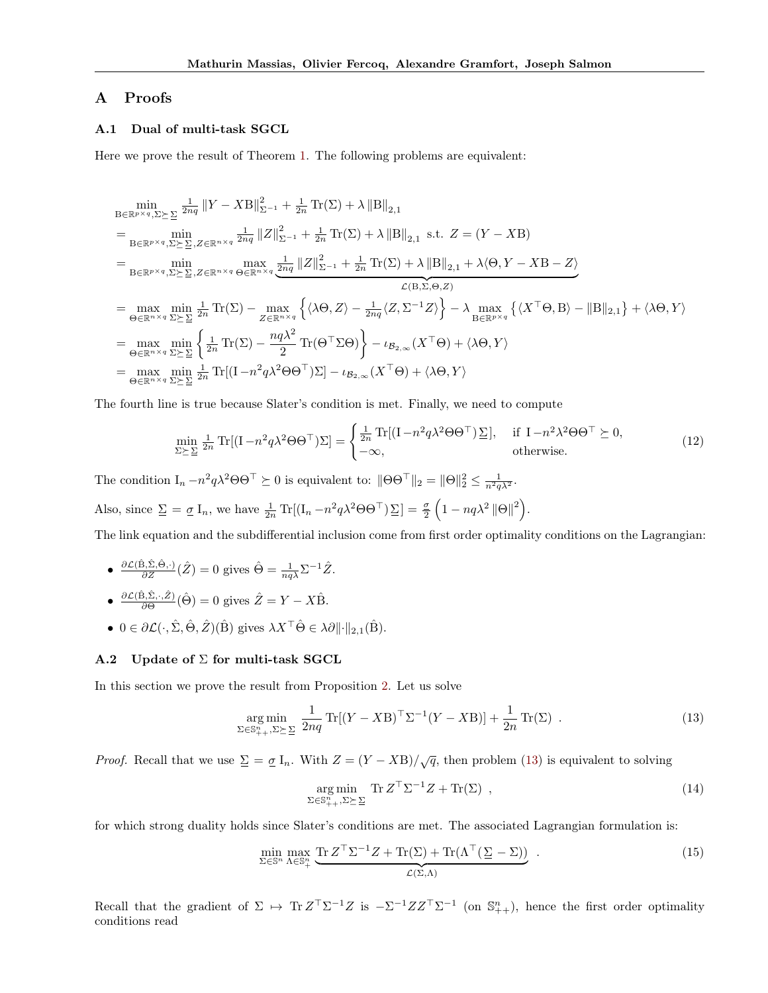# A Proofs

## <span id="page-10-0"></span>A.1 Dual of multi-task SGCL

Here we prove the result of Theorem [1.](#page-2-7) The following problems are equivalent:

$$
\min_{B \in \mathbb{R}^{p \times q}, \Sigma \succeq \Sigma} \frac{1}{2nq} ||Y - XB||_{\Sigma^{-1}}^2 + \frac{1}{2n} \text{Tr}(\Sigma) + \lambda ||B||_{2,1}
$$
\n
$$
= \min_{B \in \mathbb{R}^{p \times q}, \Sigma \succeq \Sigma, Z \in \mathbb{R}^{n \times q}} \frac{1}{2nq} ||Z||_{\Sigma^{-1}}^2 + \frac{1}{2n} \text{Tr}(\Sigma) + \lambda ||B||_{2,1} \text{ s.t. } Z = (Y - XB)
$$
\n
$$
= \min_{B \in \mathbb{R}^{p \times q}, \Sigma \succeq \Sigma, Z \in \mathbb{R}^{n \times q}} \max_{\Theta \in \mathbb{R}^{n \times q}} \frac{1}{2nq} ||Z||_{\Sigma^{-1}}^2 + \frac{1}{2n} \text{Tr}(\Sigma) + \lambda ||B||_{2,1} + \lambda \langle \Theta, Y - XB - Z \rangle
$$
\n
$$
\mathcal{L}(B, \Sigma, \Theta, Z)
$$
\n
$$
= \max_{\Theta \in \mathbb{R}^{n \times q}} \min_{\Sigma \succeq \Sigma} \frac{1}{2n} \text{Tr}(\Sigma) - \max_{Z \in \mathbb{R}^{n \times q}} \left\{ \langle \lambda \Theta, Z \rangle - \frac{1}{2nq} \langle Z, \Sigma^{-1} Z \rangle \right\} - \lambda \max_{B \in \mathbb{R}^{p \times q}} \left\{ \langle X^\top \Theta, B \rangle - ||B||_{2,1} \right\} + \langle \lambda \Theta, Y \rangle
$$
\n
$$
= \max_{\Theta \in \mathbb{R}^{n \times q}} \min_{\Sigma \succeq \Sigma} \left\{ \frac{1}{2n} \text{Tr}(\Sigma) - \frac{nq\lambda^2}{2} \text{Tr}(\Theta^\top \Sigma \Theta) \right\} - \iota_{B_{2,\infty}}(X^\top \Theta) + \langle \lambda \Theta, Y \rangle
$$
\n
$$
= \max_{\Theta \in \mathbb{R}^{n \times q}} \min_{\Sigma \succeq \Sigma} \frac{1}{2n} \text{Tr}[(I - n^2 q \lambda^2 \Theta \Theta^\top) \Sigma] - \iota_{B_{2,\infty}}(X^\top \Theta) + \langle \lambda \Theta, Y \rangle
$$

The fourth line is true because Slater's condition is met. Finally, we need to compute

$$
\min_{\Sigma \succeq \Sigma} \frac{1}{2n} \text{Tr}[(I - n^2 q \lambda^2 \Theta \Theta^\top) \Sigma] = \begin{cases} \frac{1}{2n} \text{Tr}[(I - n^2 q \lambda^2 \Theta \Theta^\top) \Sigma], & \text{if } I - n^2 \lambda^2 \Theta \Theta^\top \succeq 0, \\ -\infty, & \text{otherwise.} \end{cases}
$$
(12)

The condition  $I_n - n^2 q \lambda^2 \Theta \Theta^\top \succeq 0$  is equivalent to:  $\|\Theta \Theta^\top \|_2 = \|\Theta\|_2^2 \leq \frac{1}{n^2 q \lambda^2}$ .

Also, since 
$$
\underline{\Sigma} = \underline{\sigma} \mathbf{I}_n
$$
, we have  $\frac{1}{2n} \text{Tr}[(\mathbf{I}_n - n^2 q \lambda^2 \Theta \Theta^\top) \underline{\Sigma}] = \frac{\underline{\sigma}}{2} (1 - nq\lambda^2 ||\Theta||^2)$ .

The link equation and the subdifferential inclusion come from first order optimality conditions on the Lagrangian:

- $\frac{\partial \mathcal{L}(\hat{\mathbf{B}}, \hat{\Sigma}, \hat{\Theta}, \cdot)}{\partial Z}(\hat{Z}) = 0$  gives  $\hat{\Theta} = \frac{1}{nq\lambda} \Sigma^{-1} \hat{Z}$ .
- $\bullet$   $\frac{\partial \mathcal{L}(\hat{\mathbf{B}}, \hat{\Sigma}, \cdot, \hat{Z})}{\partial \Theta}$  $\frac{\partial \overline{\partial} S(\Sigma, \cdot, Z)}{\partial \Theta}(\hat{\Theta}) = 0$  gives  $\hat{Z} = Y - X\hat{B}$ .
- $0 \in \partial \mathcal{L}(\cdot, \hat{\Sigma}, \hat{\Theta}, \hat{Z})(\hat{\mathbf{B}})$  gives  $\lambda X^{\top} \hat{\Theta} \in \lambda \partial \|\cdot\|_{2,1}(\hat{\mathbf{B}}).$

## <span id="page-10-1"></span>A.2 Update of  $\Sigma$  for multi-task SGCL

In this section we prove the result from Proposition [2.](#page-2-2) Let us solve

$$
\underset{\Sigma \in \mathbb{S}_{++}^n, \Sigma \succeq \Sigma}{\arg \min} \frac{1}{2nq} \operatorname{Tr}[(Y - XB)^{\top} \Sigma^{-1} (Y - XB)] + \frac{1}{2n} \operatorname{Tr}(\Sigma) . \tag{13}
$$

*Proof.* Recall that we use  $\Sigma = \sigma I_n$ . With  $Z = (Y - XB)/\sqrt{q}$ , then problem [\(13\)](#page-10-2) is equivalent to solving

<span id="page-10-2"></span>
$$
\underset{\Sigma \in \mathbb{S}_{++}^{n}, \Sigma \succeq \Sigma}{\arg \min} \operatorname{Tr} Z^{\top} \Sigma^{-1} Z + \operatorname{Tr}(\Sigma) ,
$$
\n(14)

for which strong duality holds since Slater's conditions are met. The associated Lagrangian formulation is:

$$
\min_{\Sigma \in \mathbb{S}^n} \max_{\Lambda \in \mathbb{S}_+^n} \underbrace{\text{Tr}\, Z^\top \Sigma^{-1} Z + \text{Tr}(\Sigma) + \text{Tr}(\Lambda^\top (\Sigma - \Sigma))}_{\mathcal{L}(\Sigma, \Lambda)} \,. \tag{15}
$$

Recall that the gradient of  $\Sigma \mapsto \text{Tr} Z^{\top} \Sigma^{-1} Z$  is  $-\Sigma^{-1} Z Z^{\top} \Sigma^{-1}$  (on  $\mathbb{S}_{++}^n$ ), hence the first order optimality conditions read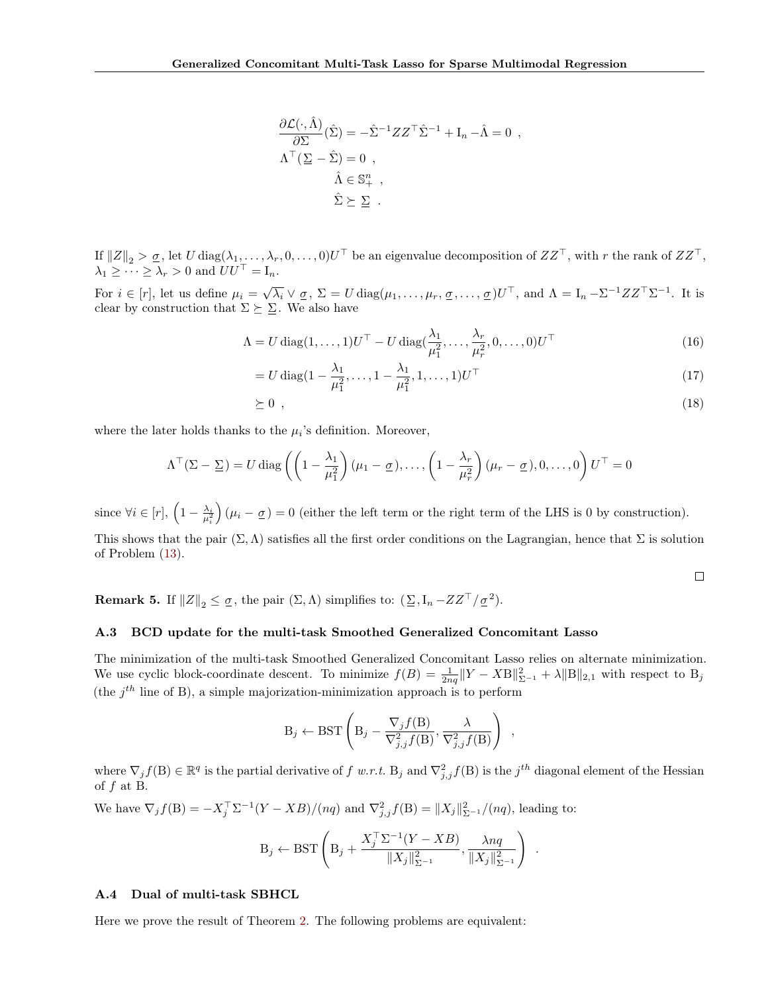$$
\frac{\partial \mathcal{L}(\cdot, \hat{\Lambda})}{\partial \Sigma}(\hat{\Sigma}) = -\hat{\Sigma}^{-1} Z Z^{\top} \hat{\Sigma}^{-1} + I_n - \hat{\Lambda} = 0 ,
$$
  

$$
\Lambda^{\top} (\Sigma - \hat{\Sigma}) = 0 ,
$$
  

$$
\hat{\Lambda} \in \mathbb{S}^{n}_{+} ,
$$
  

$$
\hat{\Sigma} \succeq \Sigma .
$$

If  $||Z||_2 > \underline{\sigma}$ , let U diag $(\lambda_1, \ldots, \lambda_r, 0, \ldots, 0)U^{\top}$  be an eigenvalue decomposition of  $ZZ^{\top}$ , with r the rank of  $ZZ^{\top}$ ,  $\lambda_1 \geq \cdots \geq \lambda_r > 0$  and  $UU^{\top} = I_n$ .

For  $i \in [r]$ , let us define  $\mu_i = \sqrt{\lambda_i} \vee \sigma$ ,  $\Sigma = U \text{diag}(\mu_1, \dots, \mu_r, \sigma, \dots, \sigma) U^{\top}$ , and  $\Lambda = I_n - \Sigma^{-1} Z Z^{\top} \Sigma^{-1}$ . It is clear by construction that  $\Sigma \succeq \Sigma$ . We also have

$$
\Lambda = U \operatorname{diag}(1, \dots, 1)U^{\top} - U \operatorname{diag}(\frac{\lambda_1}{\mu_1^2}, \dots, \frac{\lambda_r}{\mu_r^2}, 0, \dots, 0)U^{\top}
$$
\n(16)

$$
= U \operatorname{diag} (1 - \frac{\lambda_1}{\mu_1^2}, \dots, 1 - \frac{\lambda_1}{\mu_1^2}, 1, \dots, 1) U^{\top}
$$
\n(17)

$$
\geq 0 \tag{18}
$$

where the later holds thanks to the  $\mu_i$ 's definition. Moreover,

$$
\Lambda^{\top}(\Sigma - \underline{\Sigma}) = U \operatorname{diag}\left(\left(1 - \frac{\lambda_1}{\mu_1^2}\right)(\mu_1 - \underline{\sigma}), \dots, \left(1 - \frac{\lambda_r}{\mu_r^2}\right)(\mu_r - \underline{\sigma}), 0, \dots, 0\right)U^{\top} = 0
$$

since  $\forall i \in [r], \left(1 - \frac{\lambda_i}{\mu_i^2}\right)$  $(\mu_i - \sigma) = 0$  (either the left term or the right term of the LHS is 0 by construction).

This shows that the pair  $(\Sigma, \Lambda)$  satisfies all the first order conditions on the Lagrangian, hence that  $\Sigma$  is solution of Problem [\(13\)](#page-10-2).

**Remark 5.** If  $||Z||_2 \leq \underline{\sigma}$ , the pair  $(\Sigma, \Lambda)$  simplifies to:  $(\Sigma, I_n - ZZ^{\top}/\underline{\sigma}^2)$ .

#### <span id="page-11-0"></span>A.3 BCD update for the multi-task Smoothed Generalized Concomitant Lasso

The minimization of the multi-task Smoothed Generalized Concomitant Lasso relies on alternate minimization. We use cyclic block-coordinate descent. To minimize  $f(B) = \frac{1}{2nq} ||Y - XB||_{\Sigma^{-1}} + \lambda ||B||_{2,1}$  with respect to  $B_j$ (the  $j<sup>th</sup>$  line of B), a simple majorization-minimization approach is to perform

$$
B_j \leftarrow \text{BST}\left(B_j - \frac{\nabla_j f(B)}{\nabla_{j,j}^2 f(B)}, \frac{\lambda}{\nabla_{j,j}^2 f(B)}\right) ,
$$

where  $\nabla_j f(B) \in \mathbb{R}^q$  is the partial derivative of  $f$  w.r.t.  $B_j$  and  $\nabla^2_{j,j} f(B)$  is the  $j^{th}$  diagonal element of the Hessian of  $f$  at B.

We have  $\nabla_j f(B) = -X_j^{\top} \Sigma^{-1} (Y - XB)/(nq)$  and  $\nabla_{j,j}^2 f(B) = ||X_j||_{\Sigma^{-1}}^2/(nq)$ , leading to:

$$
B_j \leftarrow \text{BST}\left(B_j + \frac{X_j^{\top} \Sigma^{-1} (Y - XB)}{\|X_j\|_{\Sigma^{-1}}^2}, \frac{\lambda nq}{\|X_j\|_{\Sigma^{-1}}^2}\right)
$$

.

 $\Box$ 

## <span id="page-11-1"></span>A.4 Dual of multi-task SBHCL

Here we prove the result of Theorem [2.](#page-4-2) The following problems are equivalent: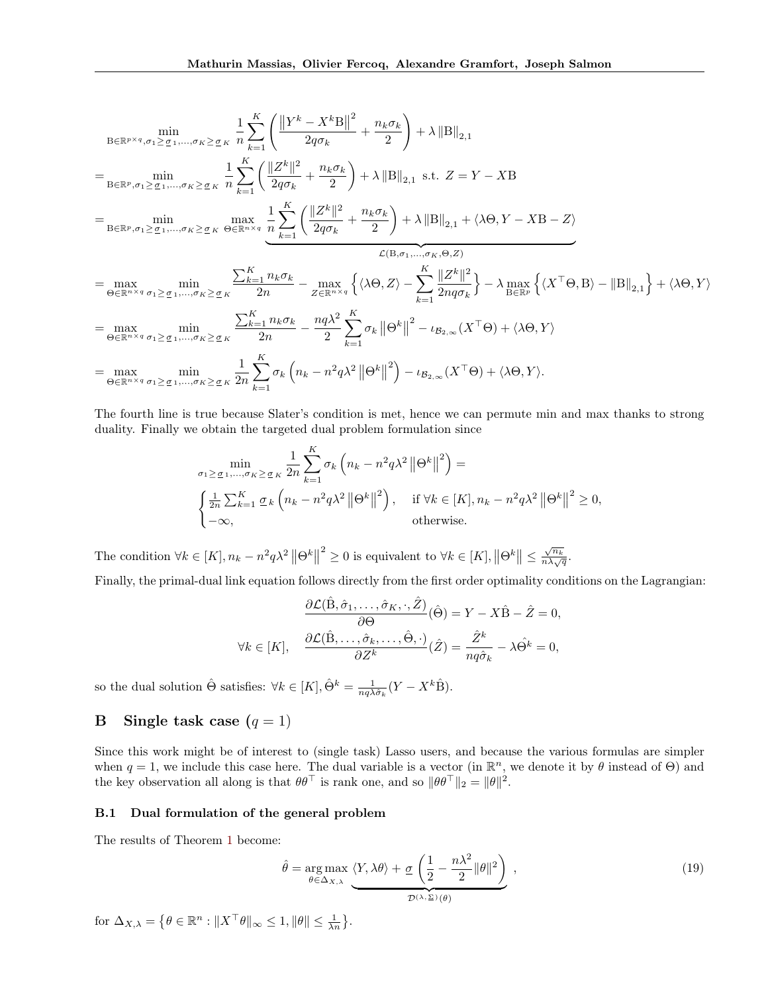$$
\min_{\mathbf{B}\in\mathbb{R}^{p\times q},\sigma_{1}\geq\sigma_{1},\ldots,\sigma_{K}\geq\sigma_{K}}\frac{1}{n}\sum_{k=1}^{K}\left(\frac{\left\|Y^{k}-X^{k}\mathbf{B}\right\|^{2}}{2q\sigma_{k}}+\frac{n_{k}\sigma_{k}}{2}\right)+\lambda\left\|\mathbf{B}\right\|_{2,1}
$$
\n
$$
=\sum_{\mathbf{B}\in\mathbb{R}^{p},\sigma_{1}\geq\sigma_{1},\ldots,\sigma_{K}\geq\sigma_{K}}\frac{1}{n}\sum_{k=1}^{K}\left(\frac{\left\|Z^{k}\right\|^{2}}{2q\sigma_{k}}+\frac{n_{k}\sigma_{k}}{2}\right)+\lambda\left\|\mathbf{B}\right\|_{2,1} \text{ s.t. } Z=Y-X\mathbf{B}
$$
\n
$$
=\min_{\mathbf{B}\in\mathbb{R}^{p},\sigma_{1}\geq\sigma_{1},\ldots,\sigma_{K}\geq\sigma_{K}}\frac{1}{n}\sum_{k=1}^{K}\left(\frac{\left\|Z^{k}\right\|^{2}}{2q\sigma_{k}}+\frac{n_{k}\sigma_{k}}{2}\right)+\lambda\left\|\mathbf{B}\right\|_{2,1}+\langle\lambda\Theta,Y-X\mathbf{B}-Z\rangle}{\mathcal{L}(\mathbf{B},\sigma_{1},\ldots,\sigma_{K},\Theta,Z)}
$$
\n
$$
=\max_{\Theta\in\mathbb{R}^{n\times q}}\min_{\sigma_{1}\geq\sigma_{1},\ldots,\sigma_{K}\geq\sigma_{K}}\frac{\sum_{k=1}^{K}n_{k}\sigma_{k}}{2n}-\max_{Z\in\mathbb{R}^{n\times q}}\left\{\langle\lambda\Theta,Z\rangle-\sum_{k=1}^{K}\frac{\left\|Z^{k}\right\|^{2}}{2nq\sigma_{k}}\right\}-\lambda\max_{\mathbf{B}\in\mathbb{R}^{p}}\left\{\langle X^{\top}\Theta,\mathbf{B}\rangle-\|\mathbf{B}\|_{2,1}\right\}+\langle\lambda\Theta,Y\rangle
$$
\n
$$
=\max_{\Theta\in\mathbb{R}^{n\times q}}\min_{\sigma_{1}\geq\sigma_{1},\ldots,\sigma_{K}\geq\sigma_{K}}\frac{\sum_{k=1}^{K}n_{k}\sigma_{k}}{2n}-\frac{nq\lambda^{
$$

The fourth line is true because Slater's condition is met, hence we can permute min and max thanks to strong duality. Finally we obtain the targeted dual problem formulation since

$$
\min_{\sigma_1 \geq \underline{\sigma}_1, \dots, \sigma_K \geq \underline{\sigma}_K} \frac{1}{2n} \sum_{k=1}^K \sigma_k \left( n_k - n^2 q \lambda^2 \left\| \Theta^k \right\|^2 \right) =
$$
\n
$$
\begin{cases}\n\frac{1}{2n} \sum_{k=1}^K \underline{\sigma}_k \left( n_k - n^2 q \lambda^2 \left\| \Theta^k \right\|^2 \right), & \text{if } \forall k \in [K], n_k - n^2 q \lambda^2 \left\| \Theta^k \right\|^2 \geq 0, \\
-\infty, & \text{otherwise.} \n\end{cases}
$$

The condition  $\forall k \in [K], n_k - n^2 q \lambda^2 \|\Theta^k\|$ <sup>2</sup> ≥ 0 is equivalent to  $\forall k \in [K], ||\Theta^k|| \leq$  $\sqrt{n_k}$  $\frac{\sqrt{n_k}}{n\lambda\sqrt{q}}$ .

Finally, the primal-dual link equation follows directly from the first order optimality conditions on the Lagrangian:

$$
\frac{\partial \mathcal{L}(\hat{\mathbf{B}}, \hat{\sigma}_1, \dots, \hat{\sigma}_K, \cdot, \hat{Z})}{\partial \Theta}(\hat{\Theta}) = Y - X\hat{\mathbf{B}} - \hat{Z} = 0,
$$
  

$$
\forall k \in [K], \quad \frac{\partial \mathcal{L}(\hat{\mathbf{B}}, \dots, \hat{\sigma}_k, \dots, \hat{\Theta}, \cdot)}{\partial Z^k}(\hat{Z}) = \frac{\hat{Z}^k}{nq\hat{\sigma}_k} - \lambda \hat{\Theta}^k = 0,
$$

so the dual solution  $\hat{\Theta}$  satisfies:  $\forall k \in [K], \hat{\Theta}^k = \frac{1}{nq\lambda \hat{\sigma}_k} (Y - X^k \hat{\mathbf{B}}).$ 

# <span id="page-12-0"></span>**B** Single task case  $(q = 1)$

Since this work might be of interest to (single task) Lasso users, and because the various formulas are simpler when  $q = 1$ , we include this case here. The dual variable is a vector (in  $\mathbb{R}^n$ , we denote it by  $\theta$  instead of  $\Theta$ ) and the key observation all along is that  $\theta \theta^{\top}$  is rank one, and so  $\|\theta \theta^{\top}\|_2 = \|\theta\|^2$ .

### B.1 Dual formulation of the general problem

The results of Theorem [1](#page-2-7) become:

$$
\hat{\theta} = \underset{\theta \in \Delta_{X,\lambda}}{\arg \max} \underbrace{\langle Y, \lambda \theta \rangle + \underline{\sigma} \left( \frac{1}{2} - \frac{n \lambda^2}{2} ||\theta||^2 \right)}_{\mathcal{D}^{(\lambda, \Sigma)}(\theta)}, \qquad (19)
$$

for  $\Delta_{X,\lambda} = \left\{ \theta \in \mathbb{R}^n : ||X^\top \theta||_{\infty} \leq 1, ||\theta|| \leq \frac{1}{\lambda n} \right\}.$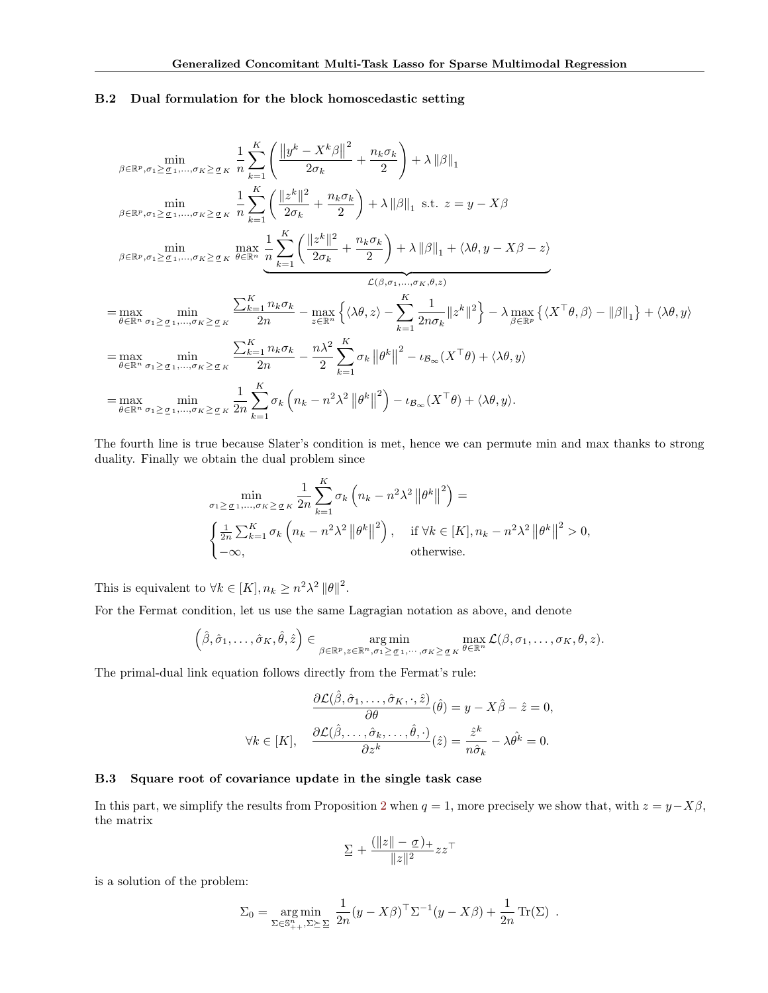## B.2 Dual formulation for the block homoscedastic setting

$$
\min_{\beta \in \mathbb{R}^p, \sigma_1 \geq \sigma_1, \dots, \sigma_K \geq \sigma_K} \frac{1}{n} \sum_{k=1}^K \left( \frac{\|y^k - X^k \beta\|^2}{2\sigma_k} + \frac{n_k \sigma_k}{2} \right) + \lambda \|\beta\|_1
$$
\n
$$
\min_{\beta \in \mathbb{R}^p, \sigma_1 \geq \sigma_1, \dots, \sigma_K \geq \sigma_K} \frac{1}{n} \sum_{k=1}^K \left( \frac{\|z^k\|^2}{2\sigma_k} + \frac{n_k \sigma_k}{2} \right) + \lambda \|\beta\|_1 \text{ s.t. } z = y - X\beta
$$
\n
$$
\min_{\beta \in \mathbb{R}^p, \sigma_1 \geq \sigma_1, \dots, \sigma_K \geq \sigma_K} \frac{\max}{\theta \in \mathbb{R}^n} \frac{1}{n} \sum_{k=1}^K \left( \frac{\|z^k\|^2}{2\sigma_k} + \frac{n_k \sigma_k}{2} \right) + \lambda \|\beta\|_1 + \langle \lambda \theta, y - X\beta - z \rangle
$$
\n
$$
\mathcal{L}(\beta, \sigma_1, \dots, \sigma_K, \theta, z)
$$
\n
$$
= \max_{\theta \in \mathbb{R}^n} \min_{\sigma_1 \geq \sigma_1, \dots, \sigma_K \geq \sigma_K} \frac{\sum_{k=1}^K n_k \sigma_k}{2n} - \max_{z \in \mathbb{R}^n} \left\{ \langle \lambda \theta, z \rangle - \sum_{k=1}^K \frac{1}{2n\sigma_k} \|z^k\|^2 \right\} - \lambda \max_{\beta \in \mathbb{R}^n} \left\{ \langle X^\top \theta, \beta \rangle - \|\beta\|_1 \right\} + \langle \lambda \theta, y \rangle
$$
\n
$$
= \max_{\theta \in \mathbb{R}^n} \min_{\sigma_1 \geq \sigma_1, \dots, \sigma_K \geq \sigma_K} \frac{\sum_{k=1}^K n_k \sigma_k}{2n} - \frac{n\lambda^2}{2} \sum_{k=1}^K \sigma_k \|\theta^k\|^2 - \iota_{B_\infty}(X^\top \theta) + \langle \lambda \theta, y \rangle
$$
\n
$$
= \max_{\theta \in \mathbb{R}^
$$

The fourth line is true because Slater's condition is met, hence we can permute min and max thanks to strong duality. Finally we obtain the dual problem since

$$
\min_{\sigma_1 \geq \sigma_1, \dots, \sigma_K \geq \sigma_K} \frac{1}{2n} \sum_{k=1}^K \sigma_k \left( n_k - n^2 \lambda^2 \left\| \theta^k \right\|^2 \right) =
$$
\n
$$
\begin{cases} \frac{1}{2n} \sum_{k=1}^K \sigma_k \left( n_k - n^2 \lambda^2 \left\| \theta^k \right\|^2 \right), & \text{if } \forall k \in [K], n_k - n^2 \lambda^2 \left\| \theta^k \right\|^2 > 0, \\ -\infty, & \text{otherwise.} \end{cases}
$$

This is equivalent to  $\forall k \in [K], n_k \geq n^2 \lambda^2 ||\theta||^2$ .

For the Fermat condition, let us use the same Lagragian notation as above, and denote

$$
(\hat{\beta}, \hat{\sigma}_1, \dots, \hat{\sigma}_K, \hat{\theta}, \hat{z}) \in \underset{\beta \in \mathbb{R}^p, z \in \mathbb{R}^n, \sigma_1 \geq \sigma_1, \dots, \sigma_K \geq \sigma_K}{\arg \min} \max_{\theta \in \mathbb{R}^n} \mathcal{L}(\beta, \sigma_1, \dots, \sigma_K, \theta, z).
$$

The primal-dual link equation follows directly from the Fermat's rule:

$$
\frac{\partial \mathcal{L}(\hat{\beta}, \hat{\sigma}_1, \dots, \hat{\sigma}_K, \cdot, \hat{z})}{\partial \theta}(\hat{\theta}) = y - X\hat{\beta} - \hat{z} = 0,
$$
  

$$
\forall k \in [K], \quad \frac{\partial \mathcal{L}(\hat{\beta}, \dots, \hat{\sigma}_k, \dots, \hat{\theta}, \cdot)}{\partial z^k}(\hat{z}) = \frac{\hat{z}^k}{n\hat{\sigma}_k} - \lambda \hat{\theta}^k = 0.
$$

## B.3 Square root of covariance update in the single task case

In this part, we simplify the results from Proposition [2](#page-2-2) when  $q = 1$ , more precisely we show that, with  $z = y - X\beta$ , the matrix

$$
\Sigma + \frac{(\|z\| - \underline{\sigma})_+}{\|z\|^2} zz^\top
$$

is a solution of the problem:

$$
\Sigma_0 = \underset{\Sigma \in \mathbb{S}_{++}^n, \Sigma \succeq \Sigma}{\arg \min} \frac{1}{2n} (y - X\beta)^{\top} \Sigma^{-1} (y - X\beta) + \frac{1}{2n} \operatorname{Tr}(\Sigma) .
$$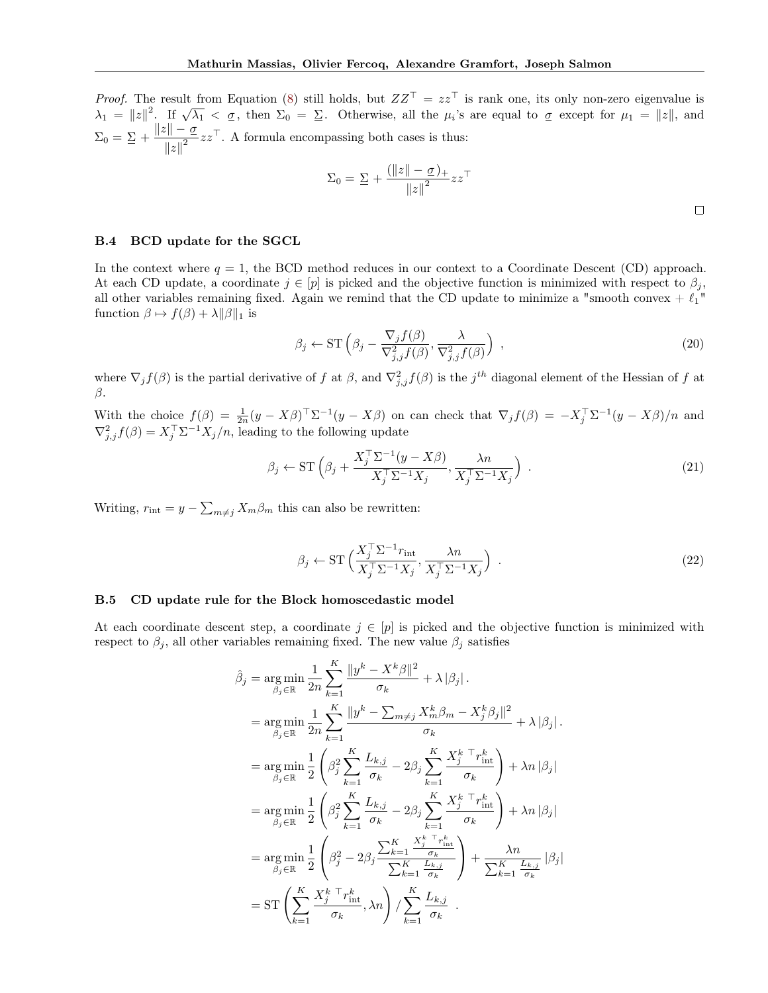*Proof.* The result from Equation [\(8\)](#page-2-8) still holds, but  $ZZ^{\top} = zz^{\top}$  is rank one, its only non-zero eigenvalue is  $\lambda_1 = ||z||^2$ . If  $\sqrt{\lambda_1} < \sigma$ , then  $\Sigma_0 = \Sigma$ . Otherwise, all the  $\mu_i$ 's are equal to  $\sigma$  except for  $\mu_1 = ||z||$ , and  $\Sigma_0 = \Sigma + \frac{\|z\| - \underline{\sigma}}{\|z\|^2}$  $\frac{||x|| - \underline{o}}{||x||^2}$   $zz^{\top}$ . A formula encompassing both cases is thus:

$$
\Sigma_0 = \Sigma + \frac{(\|z\| - \underline{\sigma})_+}{\|z\|^2} zz^\top
$$

 $\Box$ 

### B.4 BCD update for the SGCL

In the context where  $q = 1$ , the BCD method reduces in our context to a Coordinate Descent (CD) approach. At each CD update, a coordinate  $j \in [p]$  is picked and the objective function is minimized with respect to  $\beta_j$ , all other variables remaining fixed. Again we remind that the CD update to minimize a "smooth convex +  $\ell_1$ " function  $\beta \mapsto f(\beta) + \lambda ||\beta||_1$  is

$$
\beta_j \leftarrow \mathrm{ST}\left(\beta_j - \frac{\nabla_j f(\beta)}{\nabla_{j,j}^2 f(\beta)}, \frac{\lambda}{\nabla_{j,j}^2 f(\beta)}\right) ,\tag{20}
$$

where  $\nabla_j f(\beta)$  is the partial derivative of f at  $\beta$ , and  $\nabla^2_{j,j} f(\beta)$  is the j<sup>th</sup> diagonal element of the Hessian of f at  $\beta$ .

With the choice  $f(\beta) = \frac{1}{2n}(y - X\beta)^{\top} \Sigma^{-1}(y - X\beta)$  on can check that  $\nabla_j f(\beta) = -X_j^{\top} \Sigma^{-1}(y - X\beta)/n$  and  $\nabla_{j,j}^2 f(\beta) = X_j^{\top} \Sigma^{-1} X_j/n$ , leading to the following update

$$
\beta_j \leftarrow \mathrm{ST}\left(\beta_j + \frac{X_j^{\top} \Sigma^{-1} (y - X\beta)}{X_j^{\top} \Sigma^{-1} X_j}, \frac{\lambda n}{X_j^{\top} \Sigma^{-1} X_j}\right) \,. \tag{21}
$$

Writing,  $r_{\text{int}} = y - \sum_{m \neq j} X_m \beta_m$  this can also be rewritten:

$$
\beta_j \leftarrow \mathrm{ST}\left(\frac{X_j^{\top} \Sigma^{-1} r_{\text{int}}}{X_j^{\top} \Sigma^{-1} X_j}, \frac{\lambda n}{X_j^{\top} \Sigma^{-1} X_j}\right) \,. \tag{22}
$$

## B.5 CD update rule for the Block homoscedastic model

At each coordinate descent step, a coordinate  $j \in [p]$  is picked and the objective function is minimized with respect to  $\beta_j$ , all other variables remaining fixed. The new value  $\beta_j$  satisfies

$$
\hat{\beta}_{j} = \underset{\beta_{j} \in \mathbb{R}}{\arg \min} \frac{1}{2n} \sum_{k=1}^{K} \frac{\|y^{k} - X^{k}\beta\|^{2}}{\sigma_{k}} + \lambda |\beta_{j}|.
$$
\n
$$
= \underset{\beta_{j} \in \mathbb{R}}{\arg \min} \frac{1}{2n} \sum_{k=1}^{K} \frac{\|y^{k} - \sum_{m \neq j} X_{m}^{k}\beta_{m} - X_{j}^{k}\beta_{j}\|^{2}}{\sigma_{k}} + \lambda |\beta_{j}|.
$$
\n
$$
= \underset{\beta_{j} \in \mathbb{R}}{\arg \min} \frac{1}{2} \left( \beta_{j}^{2} \sum_{k=1}^{K} \frac{L_{k,j}}{\sigma_{k}} - 2\beta_{j} \sum_{k=1}^{K} \frac{X_{j}^{k}}{\sigma_{k}}^{-r} \frac{r_{\text{int}}}{\sigma_{k}} \right) + \lambda n |\beta_{j}|
$$
\n
$$
= \underset{\beta_{j} \in \mathbb{R}}{\arg \min} \frac{1}{2} \left( \beta_{j}^{2} \sum_{k=1}^{K} \frac{L_{k,j}}{\sigma_{k}} - 2\beta_{j} \sum_{k=1}^{K} \frac{X_{j}^{k}}{\sigma_{k}}^{-r} \frac{r_{\text{int}}}{\sigma_{k}} \right) + \lambda n |\beta_{j}|
$$
\n
$$
= \underset{\beta_{j} \in \mathbb{R}}{\arg \min} \frac{1}{2} \left( \beta_{j}^{2} - 2\beta_{j} \frac{\sum_{k=1}^{K} \frac{X_{j}^{k}}{\sigma_{k}}^{-r} \frac{r_{\text{int}}}{\sigma_{k}}}{\sum_{k=1}^{K} \frac{L_{k,j}}{\sigma_{k}}} \right) + \frac{\lambda n}{\sum_{k=1}^{K} \frac{L_{k,j}}{\sigma_{k}}} |\beta_{j}|
$$
\n
$$
= \mathrm{ST} \left( \sum_{k=1}^{K} \frac{X_{j}^{k}}{\sigma_{k}}^{-r} \frac{r_{\text{int}}}{\sigma_{k}}, \lambda n \right) / \sum_{k=1}^{K} \frac{L_{k,j}}{\sigma_{k}}.
$$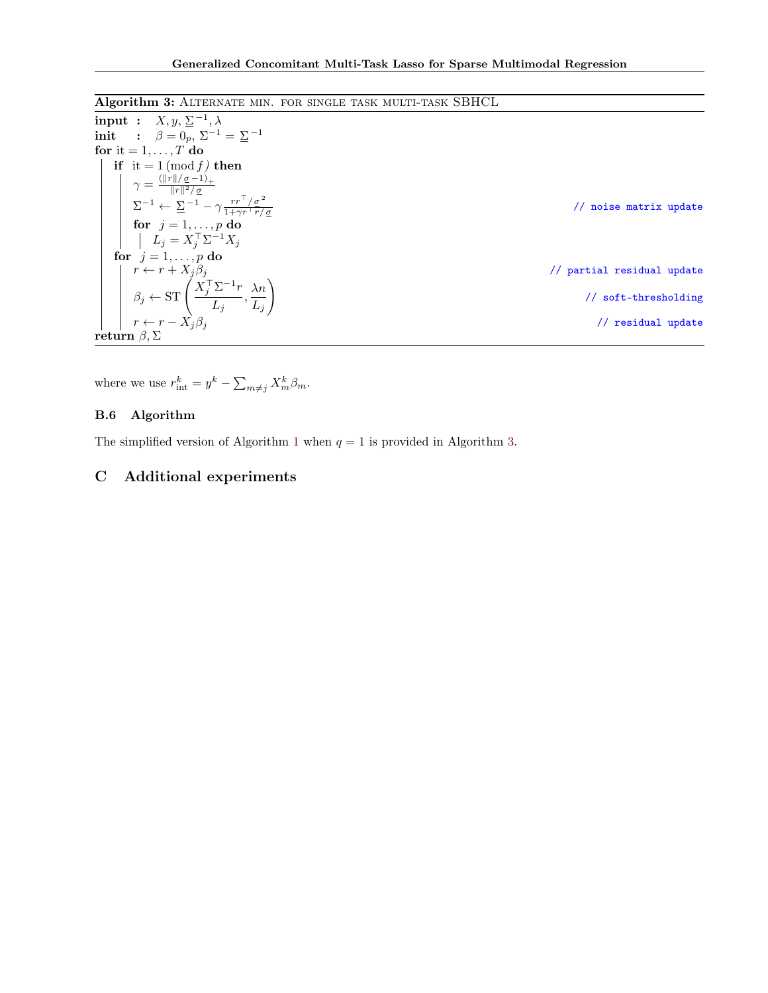# Algorithm 3: Alternate min. for single task multi-task SBHCL

<span id="page-15-1"></span>

| input : $X, y, \Sigma^{-1}, \lambda$                                                                                                                                             |                                       |
|----------------------------------------------------------------------------------------------------------------------------------------------------------------------------------|---------------------------------------|
| init : $\beta = 0_n, \ \Sigma^{-1} = \Sigma^{-1}$                                                                                                                                |                                       |
| for it $= 1, \ldots, T$ do                                                                                                                                                       |                                       |
| if it = 1 (mod f) then                                                                                                                                                           |                                       |
| $\gamma = \frac{(\ r\ /\sigma - 1)_+}{\ r\ ^2/\sigma}$                                                                                                                           |                                       |
| $\boxed{\quad \Sigma^{-1} \leftarrow \overset{\shortparallel\quad \shortparallel \ \cdot \ \cdot \ \cdot -}_{\simeq}-\gamma \frac{rr^\top/\sigma^2}{1+\gamma r^\top r/\sigma} }$ | noise matrix update<br>$\prime\prime$ |
| for $j = 1, \ldots, p$ do                                                                                                                                                        |                                       |
| $L_i = X_i^{\top} \Sigma^{-1} X_i$                                                                                                                                               |                                       |
| for $i=1,\ldots,p$ do                                                                                                                                                            |                                       |
| $\left  r \leftarrow r + X_j \beta_j \right $                                                                                                                                    | // partial residual update            |
| $\beta_j \leftarrow \mathrm{ST}\left(\frac{X_j^{\top} \Sigma^{-1} r}{L_j}, \frac{\lambda n}{L_j}\right)$                                                                         | // soft-thresholding                  |
| $r \leftarrow r - X_i \beta_i$                                                                                                                                                   | // residual update                    |
| ${\bf return}\,\,\beta, \Sigma$                                                                                                                                                  |                                       |

where we use  $r_{\text{int}}^k = y^k - \sum_{m \neq j} X_m^k \beta_m$ .

# B.6 Algorithm

The simplified version of Algorithm [1](#page-3-1) when  $q = 1$  is provided in Algorithm [3.](#page-15-1)

# <span id="page-15-0"></span>C Additional experiments